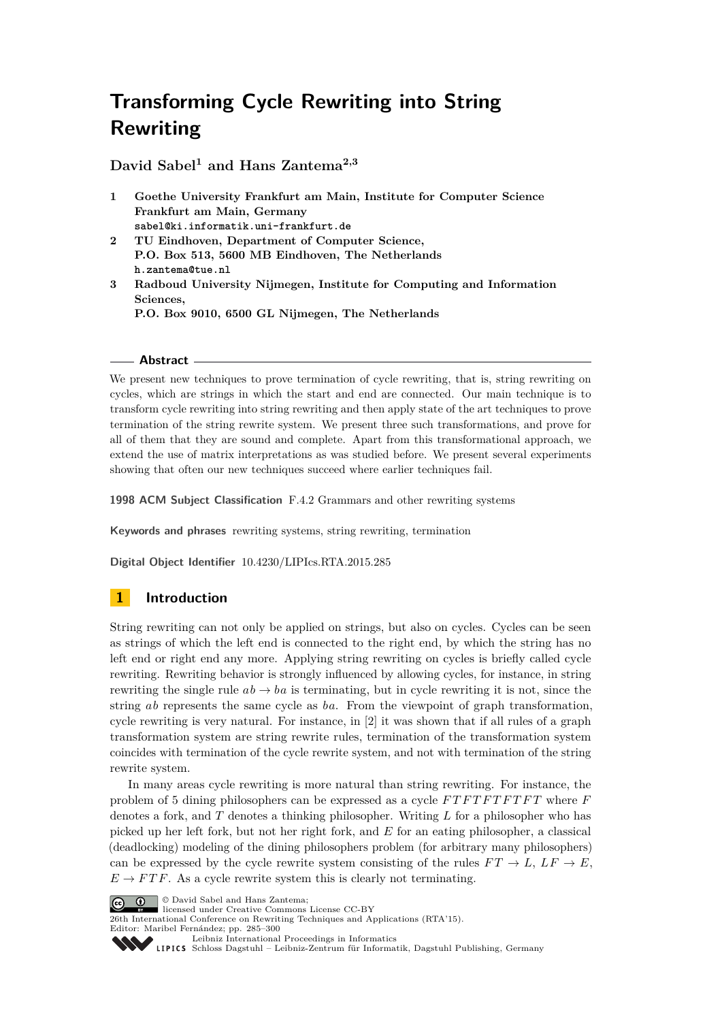**David Sabel<sup>1</sup> and Hans Zantema2,3**

- **1 Goethe University Frankfurt am Main, Institute for Computer Science Frankfurt am Main, Germany sabel@ki.informatik.uni-frankfurt.de**
- **2 TU Eindhoven, Department of Computer Science, P.O. Box 513, 5600 MB Eindhoven, The Netherlands h.zantema@tue.nl**
- **3 Radboud University Nijmegen, Institute for Computing and Information Sciences, P.O. Box 9010, 6500 GL Nijmegen, The Netherlands**

#### **Abstract**

We present new techniques to prove termination of cycle rewriting, that is, string rewriting on cycles, which are strings in which the start and end are connected. Our main technique is to transform cycle rewriting into string rewriting and then apply state of the art techniques to prove termination of the string rewrite system. We present three such transformations, and prove for all of them that they are sound and complete. Apart from this transformational approach, we extend the use of matrix interpretations as was studied before. We present several experiments showing that often our new techniques succeed where earlier techniques fail.

**1998 ACM Subject Classification** F.4.2 Grammars and other rewriting systems

**Keywords and phrases** rewriting systems, string rewriting, termination

**Digital Object Identifier** [10.4230/LIPIcs.RTA.2015.285](http://dx.doi.org/10.4230/LIPIcs.RTA.2015.285)

# **1 Introduction**

String rewriting can not only be applied on strings, but also on cycles. Cycles can be seen as strings of which the left end is connected to the right end, by which the string has no left end or right end any more. Applying string rewriting on cycles is briefly called cycle rewriting. Rewriting behavior is strongly influenced by allowing cycles, for instance, in string rewriting the single rule  $ab \rightarrow ba$  is terminating, but in cycle rewriting it is not, since the string *ab* represents the same cycle as *ba*. From the viewpoint of graph transformation, cycle rewriting is very natural. For instance, in [\[2\]](#page-15-0) it was shown that if all rules of a graph transformation system are string rewrite rules, termination of the transformation system coincides with termination of the cycle rewrite system, and not with termination of the string rewrite system.

In many areas cycle rewriting is more natural than string rewriting. For instance, the problem of 5 dining philosophers can be expressed as a cycle *F T F T F T F T F T* where *F* denotes a fork, and *T* denotes a thinking philosopher. Writing *L* for a philosopher who has picked up her left fork, but not her right fork, and *E* for an eating philosopher, a classical (deadlocking) modeling of the dining philosophers problem (for arbitrary many philosophers) can be expressed by the cycle rewrite system consisting of the rules  $FT \to L$ ,  $LF \to E$ ,  $E \to FTF$ . As a cycle rewrite system this is clearly not terminating.

**C**  $\bullet$  **D**  $\bullet$  David Sabel and Hans Zantema:

licensed under Creative Commons License CC-BY

26th International Conference on Rewriting Techniques and Applications (RTA'15). Editor: Maribel Fernández; pp. 285[–300](#page-15-1)

[Leibniz International Proceedings in Informatics](http://www.dagstuhl.de/lipics/)

[Schloss Dagstuhl – Leibniz-Zentrum für Informatik, Dagstuhl Publishing, Germany](http://www.dagstuhl.de)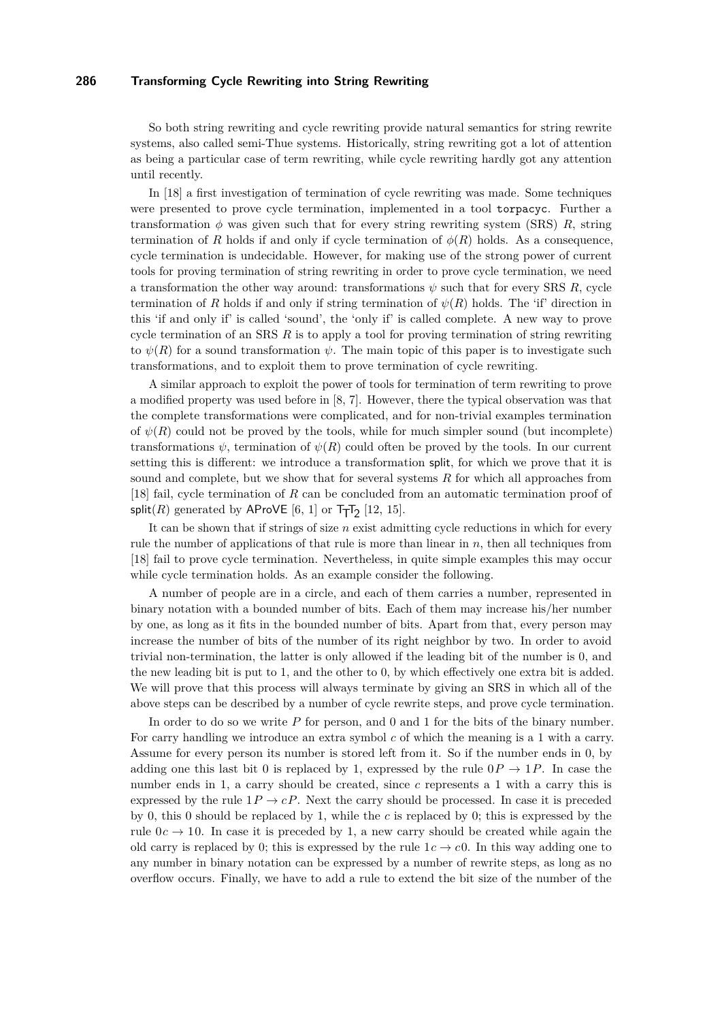So both string rewriting and cycle rewriting provide natural semantics for string rewrite systems, also called semi-Thue systems. Historically, string rewriting got a lot of attention as being a particular case of term rewriting, while cycle rewriting hardly got any attention until recently.

In [\[18\]](#page-15-2) a first investigation of termination of cycle rewriting was made. Some techniques were presented to prove cycle termination, implemented in a tool torpacyc. Further a transformation  $\phi$  was given such that for every string rewriting system (SRS) *R*, string termination of *R* holds if and only if cycle termination of  $\phi(R)$  holds. As a consequence, cycle termination is undecidable. However, for making use of the strong power of current tools for proving termination of string rewriting in order to prove cycle termination, we need a transformation the other way around: transformations  $\psi$  such that for every SRS *R*, cycle termination of *R* holds if and only if string termination of  $\psi(R)$  holds. The 'if' direction in this 'if and only if' is called 'sound', the 'only if' is called complete. A new way to prove cycle termination of an SRS *R* is to apply a tool for proving termination of string rewriting to  $\psi(R)$  for a sound transformation  $\psi$ . The main topic of this paper is to investigate such transformations, and to exploit them to prove termination of cycle rewriting.

A similar approach to exploit the power of tools for termination of term rewriting to prove a modified property was used before in [\[8,](#page-15-3) [7\]](#page-15-4). However, there the typical observation was that the complete transformations were complicated, and for non-trivial examples termination of  $\psi(R)$  could not be proved by the tools, while for much simpler sound (but incomplete) transformations  $\psi$ , termination of  $\psi(R)$  could often be proved by the tools. In our current setting this is different: we introduce a transformation split, for which we prove that it is sound and complete, but we show that for several systems *R* for which all approaches from [\[18\]](#page-15-2) fail, cycle termination of *R* can be concluded from an automatic termination proof of split(*R*) generated by  $\mathsf{AProVE}\left[6, 1\right]$  $\mathsf{AProVE}\left[6, 1\right]$  $\mathsf{AProVE}\left[6, 1\right]$  or  $\mathsf{Tr} \mathsf{T}_2$  [\[12,](#page-15-7) [15\]](#page-15-8).

It can be shown that if strings of size *n* exist admitting cycle reductions in which for every rule the number of applications of that rule is more than linear in *n*, then all techniques from [\[18\]](#page-15-2) fail to prove cycle termination. Nevertheless, in quite simple examples this may occur while cycle termination holds. As an example consider the following.

A number of people are in a circle, and each of them carries a number, represented in binary notation with a bounded number of bits. Each of them may increase his/her number by one, as long as it fits in the bounded number of bits. Apart from that, every person may increase the number of bits of the number of its right neighbor by two. In order to avoid trivial non-termination, the latter is only allowed if the leading bit of the number is 0, and the new leading bit is put to 1, and the other to 0, by which effectively one extra bit is added. We will prove that this process will always terminate by giving an SRS in which all of the above steps can be described by a number of cycle rewrite steps, and prove cycle termination.

In order to do so we write *P* for person, and 0 and 1 for the bits of the binary number. For carry handling we introduce an extra symbol *c* of which the meaning is a 1 with a carry. Assume for every person its number is stored left from it. So if the number ends in 0, by adding one this last bit 0 is replaced by 1, expressed by the rule  $0P \rightarrow 1P$ . In case the number ends in 1, a carry should be created, since *c* represents a 1 with a carry this is expressed by the rule  $1P \rightarrow cP$ . Next the carry should be processed. In case it is preceded by 0, this 0 should be replaced by 1, while the *c* is replaced by 0; this is expressed by the rule  $0c \rightarrow 10$ . In case it is preceded by 1, a new carry should be created while again the old carry is replaced by 0; this is expressed by the rule  $1c \rightarrow c0$ . In this way adding one to any number in binary notation can be expressed by a number of rewrite steps, as long as no overflow occurs. Finally, we have to add a rule to extend the bit size of the number of the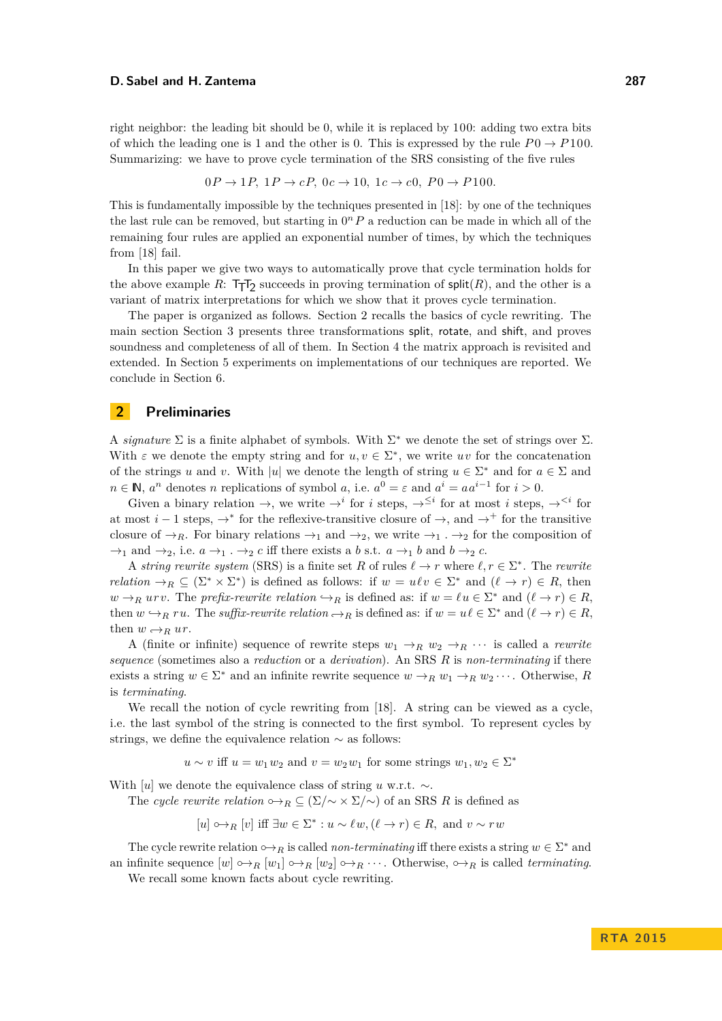right neighbor: the leading bit should be 0, while it is replaced by 100: adding two extra bits of which the leading one is 1 and the other is 0. This is expressed by the rule  $P_0 \rightarrow P_0 100$ . Summarizing: we have to prove cycle termination of the SRS consisting of the five rules

$$
0P \rightarrow 1P, 1P \rightarrow cP, 0c \rightarrow 10, 1c \rightarrow c0, P0 \rightarrow P100.
$$

This is fundamentally impossible by the techniques presented in [\[18\]](#page-15-2): by one of the techniques the last rule can be removed, but starting in  $0<sup>n</sup> P$  a reduction can be made in which all of the remaining four rules are applied an exponential number of times, by which the techniques from [\[18\]](#page-15-2) fail.

In this paper we give two ways to automatically prove that cycle termination holds for the above example  $R: \mathsf{T} \mathsf{T} \mathsf{T}_2$  succeeds in proving termination of  $\mathsf{split}(R)$ , and the other is a variant of matrix interpretations for which we show that it proves cycle termination.

The paper is organized as follows. Section [2](#page-2-0) recalls the basics of cycle rewriting. The main section Section [3](#page-3-0) presents three transformations split, rotate, and shift, and proves soundness and completeness of all of them. In Section [4](#page-9-0) the matrix approach is revisited and extended. In Section [5](#page-12-0) experiments on implementations of our techniques are reported. We conclude in Section [6.](#page-14-0)

## <span id="page-2-0"></span>**2 Preliminaries**

A *signature*  $\Sigma$  is a finite alphabet of symbols. With  $\Sigma^*$  we denote the set of strings over  $\Sigma$ . With  $\varepsilon$  we denote the empty string and for  $u, v \in \Sigma^*$ , we write  $uv$  for the concatenation of the strings *u* and *v*. With |*u*| we denote the length of string  $u \in \Sigma^*$  and for  $a \in \Sigma$  and  $n \in \mathbb{N}$ ,  $a^n$  denotes *n* replications of symbol *a*, i.e.  $a^0 = \varepsilon$  and  $a^i = aa^{i-1}$  for  $i > 0$ .

Given a binary relation  $\rightarrow$ , we write  $\rightarrow$ <sup>*i*</sup> for *i* steps,  $\rightarrow$ <sup> $\leq$ *i*</sup> for at most *i* steps,  $\rightarrow$ <sup> $\leq$ *i*</sup> for at most *i* − 1 steps,  $\rightarrow^*$  for the reflexive-transitive closure of  $\rightarrow$ , and  $\rightarrow^+$  for the transitive closure of  $\rightarrow_R$ . For binary relations  $\rightarrow_1$  and  $\rightarrow_2$ , we write  $\rightarrow_1$ .  $\rightarrow_2$  for the composition of  $\rightarrow_1$  and  $\rightarrow_2$ , i.e.  $a \rightarrow_1$ .  $\rightarrow_2 c$  iff there exists a *b* s.t.  $a \rightarrow_1 b$  and  $b \rightarrow_2 c$ .

A *string rewrite system* (SRS) is a finite set R of rules  $\ell \to r$  where  $\ell, r \in \Sigma^*$ . The *rewrite relation*  $\rightarrow_R \subseteq (\Sigma^* \times \Sigma^*)$  is defined as follows: if  $w = u \ell v \in \Sigma^*$  and  $(\ell \to r) \in R$ , then  $w \rightarrow_R urv$ . The *prefix-rewrite relation*  $\hookrightarrow_R$  is defined as: if  $w = \ell u \in \Sigma^*$  and  $(\ell \to r) \in R$ , then  $w \hookrightarrow_R ru$ . The *suffix-rewrite relation*  $\hookrightarrow_R$  is defined as: if  $w = u\ell \in \Sigma^*$  and  $(\ell \to r) \in R$ , then  $w \rightarrow_R u r$ .

A (finite or infinite) sequence of rewrite steps  $w_1 \rightarrow_R w_2 \rightarrow_R \cdots$  is called a *rewrite sequence* (sometimes also a *reduction* or a *derivation*). An SRS *R* is *non-terminating* if there exists a string  $w \in \Sigma^*$  and an infinite rewrite sequence  $w \to_R w_1 \to_R w_2 \cdots$ . Otherwise, R is *terminating*.

We recall the notion of cycle rewriting from [\[18\]](#page-15-2). A string can be viewed as a cycle, i.e. the last symbol of the string is connected to the first symbol. To represent cycles by strings, we define the equivalence relation ∼ as follows:

 $u \sim v$  iff  $u = w_1 w_2$  and  $v = w_2 w_1$  for some strings  $w_1, w_2 \in \Sigma^*$ 

With [*u*] we denote the equivalence class of string *u* w.r.t. ∼.

The *cycle rewrite relation*  $\circ \rightarrow_R \subseteq (\Sigma/\sim \times \Sigma/\sim)$  of an SRS *R* is defined as

 $[u] \rightarrow_R [v]$  iff  $\exists w \in \Sigma^* : u \sim \ell w, (\ell \to r) \in R$ , and  $v \sim rw$ 

The cycle rewrite relation  $\rightarrow R$  is called *non-terminating* iff there exists a string  $w \in \Sigma^*$  and an infinite sequence  $[w] \rightarrow_R [w_1] \rightarrow_R [w_2] \rightarrow_R \cdots$ . Otherwise,  $\rightarrow_R$  is called *terminating*.

We recall some known facts about cycle rewriting.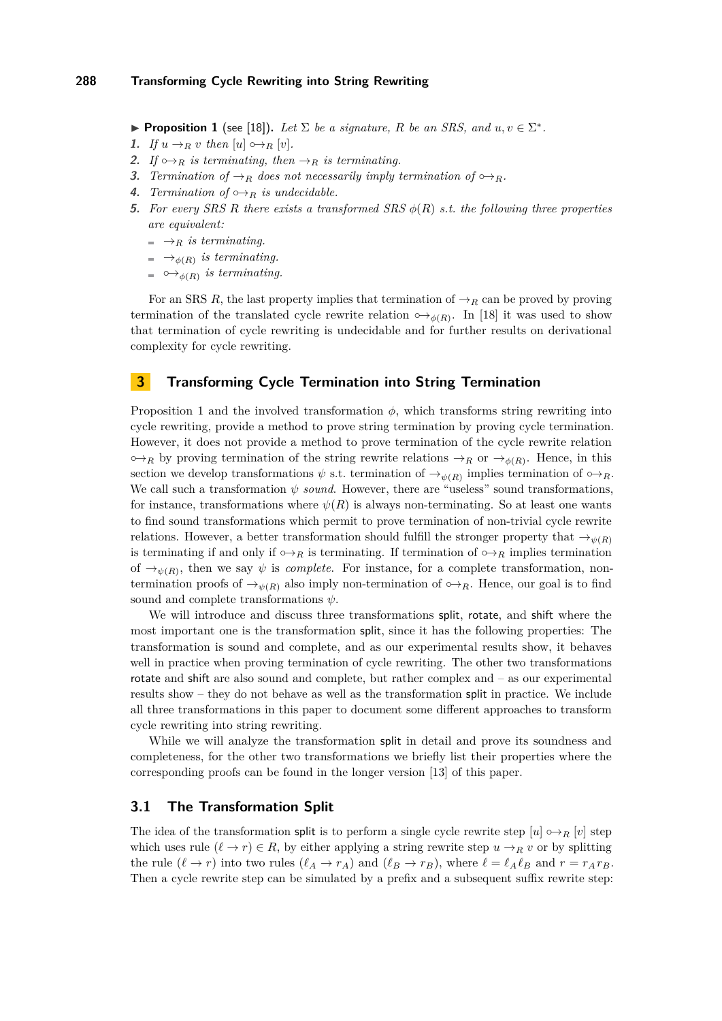<span id="page-3-1"></span>**Proposition 1** (see [\[18\]](#page-15-2)). Let  $\Sigma$  be a signature, R be an SRS, and  $u, v \in \Sigma^*$ .

- 1. If  $u \rightarrow_R v$  then  $[u] \rightarrow_R [v]$ .
- **2.** *If*  $\leftrightarrow$ *R is terminating, then*  $\rightarrow$ *R is terminating.*
- **3.** *Termination of*  $\rightarrow$ *R does not necessarily imply termination of*  $\rightarrow$ *R.*
- **4.** *Termination of*  $\omega_{R}$  *is undecidable.*
- **5.** *For every SRS R there exists a transformed SRS φ*(*R*) *s.t. the following three properties are equivalent:*
	- $ightharpoonup$ *R is terminating.*
	- $\rightarrow$ <sub> $\phi(R)$ </sub> is terminating.
	- $\hookrightarrow_{\phi(R)}$  *is terminating.*

For an SRS *R*, the last property implies that termination of  $\rightarrow_R$  can be proved by proving termination of the translated cycle rewrite relation  $\circ \rightarrow_{\phi(R)}$ . In [\[18\]](#page-15-2) it was used to show that termination of cycle rewriting is undecidable and for further results on derivational complexity for cycle rewriting.

# <span id="page-3-0"></span>**3 Transforming Cycle Termination into String Termination**

Proposition [1](#page-3-1) and the involved transformation  $\phi$ , which transforms string rewriting into cycle rewriting, provide a method to prove string termination by proving cycle termination. However, it does not provide a method to prove termination of the cycle rewrite relation  $\circ \rightarrow_R$  by proving termination of the string rewrite relations  $\rightarrow_R$  or  $\rightarrow_{\phi(R)}$ . Hence, in this section we develop transformations  $\psi$  s.t. termination of  $\rightarrow_{\psi(R)}$  implies termination of  $\circ \rightarrow_R$ . We call such a transformation *ψ sound*. However, there are "useless" sound transformations, for instance, transformations where  $\psi(R)$  is always non-terminating. So at least one wants to find sound transformations which permit to prove termination of non-trivial cycle rewrite relations. However, a better transformation should fulfill the stronger property that  $\rightarrow_{\psi(R)}$ is terminating if and only if  $\circ \rightarrow_R$  is termination. If termination of  $\circ \rightarrow_R$  implies termination of  $\rightarrow_{\psi(R)}$ , then we say  $\psi$  is *complete*. For instance, for a complete transformation, nontermination proofs of  $\rightarrow_{\psi(R)}$  also imply non-termination of  $\rightarrow_R$ . Hence, our goal is to find sound and complete transformations *ψ*.

We will introduce and discuss three transformations split, rotate, and shift where the most important one is the transformation split, since it has the following properties: The transformation is sound and complete, and as our experimental results show, it behaves well in practice when proving termination of cycle rewriting. The other two transformations rotate and shift are also sound and complete, but rather complex and – as our experimental results show – they do not behave as well as the transformation split in practice. We include all three transformations in this paper to document some different approaches to transform cycle rewriting into string rewriting.

While we will analyze the transformation split in detail and prove its soundness and completeness, for the other two transformations we briefly list their properties where the corresponding proofs can be found in the longer version [\[13\]](#page-15-9) of this paper.

#### **3.1 The Transformation Split**

The idea of the transformation split is to perform a single cycle rewrite step  $[u] \leftrightarrow_R [v]$  step which uses rule  $(\ell \to r) \in R$ , by either applying a string rewrite step  $u \to_R v$  or by splitting the rule  $(\ell \to r)$  into two rules  $(\ell_A \to r_A)$  and  $(\ell_B \to r_B)$ , where  $\ell = \ell_A \ell_B$  and  $r = r_A r_B$ . Then a cycle rewrite step can be simulated by a prefix and a subsequent suffix rewrite step: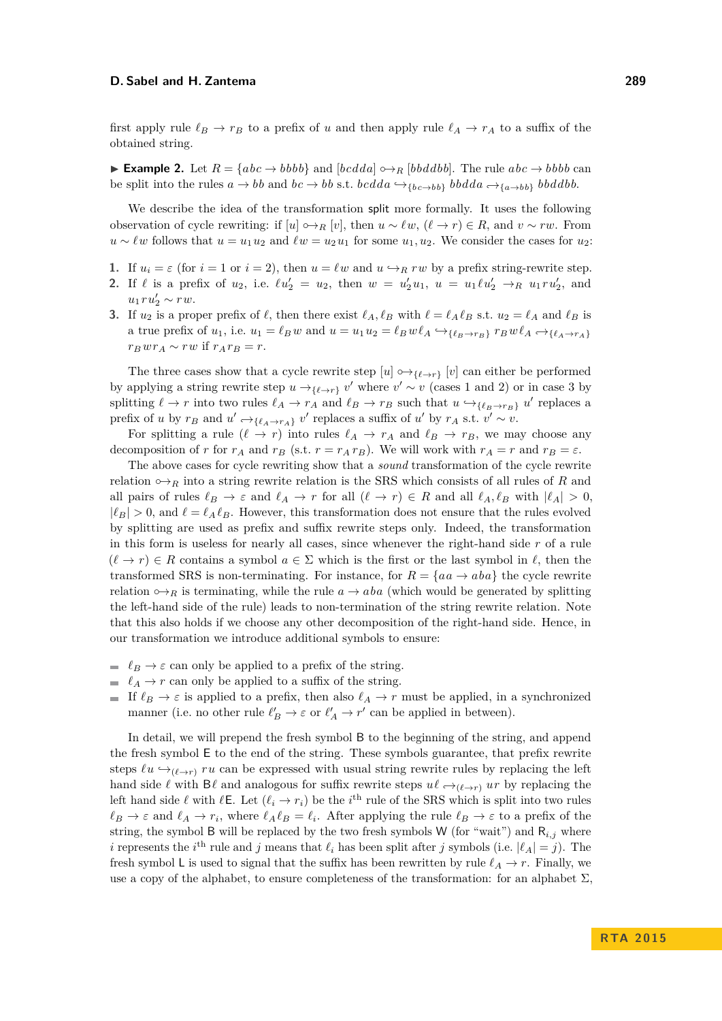first apply rule  $\ell_B \to r_B$  to a prefix of *u* and then apply rule  $\ell_A \to r_A$  to a suffix of the obtained string.

<span id="page-4-3"></span>► **Example 2.** Let  $R = \{abc \rightarrow bbbb\}$  and  $[bcdda] \rightarrow R[bbddbb]$ . The rule  $abc \rightarrow bbbb$  can be split into the rules  $a \rightarrow bb$  and  $bc \rightarrow bb$  s.t.  $bcdda \rightarrow \{bc \rightarrow bb\}$   $bbddda \rightarrow \{a \rightarrow bb\}$   $bbdddbb$ .

We describe the idea of the transformation split more formally. It uses the following observation of cycle rewriting: if  $[u] \leftrightarrow_R [v]$ , then  $u \sim \ell w$ ,  $(\ell \to r) \in R$ , and  $v \sim rw$ . From *u* ∼  $\ell w$  follows that  $u = u_1 u_2$  and  $\ell w = u_2 u_1$  for some  $u_1, u_2$ . We consider the cases for  $u_2$ :

- <span id="page-4-0"></span>**1.** If  $u_i = \varepsilon$  (for  $i = 1$  or  $i = 2$ ), then  $u = \ell w$  and  $u \hookrightarrow_R ru$  by a prefix string-rewrite step.
- <span id="page-4-1"></span>**2.** If  $\ell$  is a prefix of  $u_2$ , i.e.  $\ell u_2' = u_2$ , then  $w = u_2' u_1$ ,  $u = u_1 \ell u_2' \to_R u_1 r u_2'$ , and  $u_1 r u_2' \sim r w.$
- <span id="page-4-2"></span>**3.** If  $u_2$  is a proper prefix of  $\ell$ , then there exist  $\ell_A, \ell_B$  with  $\ell = \ell_A \ell_B$  s.t.  $u_2 = \ell_A$  and  $\ell_B$  is a true prefix of  $u_1$ , i.e.  $u_1 = \ell_B w$  and  $u = u_1 u_2 = \ell_B w \ell_A \hookrightarrow_{\{\ell_B \to r_B\}} r_B w \ell_A \hookrightarrow_{\{\ell_A \to r_A\}} r_B w \ell_B$  $r_B w r_A \sim r w$  if  $r_A r_B = r$ .

The three cases show that a cycle rewrite step  $[u] \leftrightarrow_{\{ \ell \to r \}} [v]$  can either be performed by applying a string rewrite step  $u \rightarrow_{\{\ell \to r\}} v'$  where  $v' \sim v$  (cases [1](#page-4-0) and [2\)](#page-4-1) or in case [3](#page-4-2) by splitting  $\ell \to r$  into two rules  $\ell_A \to r_A$  and  $\ell_B \to r_B$  such that  $u \to_{\{\ell_B \to r_B\}} u'$  replaces a prefix of *u* by  $r_B$  and  $u' \rightarrow \ell_{\ell_A \rightarrow r_A}$  *v*' replaces a suffix of *u*' by  $r_A$  s.t.  $v' \sim v$ .

For splitting a rule  $(\ell \to r)$  into rules  $\ell_A \to r_A$  and  $\ell_B \to r_B$ , we may choose any decomposition of *r* for  $r_A$  and  $r_B$  (s.t.  $r = r_A r_B$ ). We will work with  $r_A = r$  and  $r_B = \varepsilon$ .

The above cases for cycle rewriting show that a *sound* transformation of the cycle rewrite relation  $\phi \rightarrow_R$  into a string rewrite relation is the SRS which consists of all rules of *R* and all pairs of rules  $\ell_B \to \varepsilon$  and  $\ell_A \to r$  for all  $(\ell \to r) \in R$  and all  $\ell_A, \ell_B$  with  $|\ell_A| > 0$ ,  $|\ell_B| > 0$ , and  $\ell = \ell_A \ell_B$ . However, this transformation does not ensure that the rules evolved by splitting are used as prefix and suffix rewrite steps only. Indeed, the transformation in this form is useless for nearly all cases, since whenever the right-hand side *r* of a rule  $(\ell \to r) \in R$  contains a symbol  $a \in \Sigma$  which is the first or the last symbol in  $\ell$ , then the transformed SRS is non-terminating. For instance, for  $R = \{aa \rightarrow aba\}$  the cycle rewrite relation  $\circ \rightarrow_B$  is terminating, while the rule  $a \rightarrow aba$  (which would be generated by splitting the left-hand side of the rule) leads to non-termination of the string rewrite relation. Note that this also holds if we choose any other decomposition of the right-hand side. Hence, in our transformation we introduce additional symbols to ensure:

- $\ell_B \to \varepsilon$  can only be applied to a prefix of the string.
- $\ell_A \to r$  can only be applied to a suffix of the string.
- If  $\ell_B \to \varepsilon$  is applied to a prefix, then also  $\ell_A \to r$  must be applied, in a synchronized manner (i.e. no other rule  $\ell'_B \to \varepsilon$  or  $\ell'_A \to r'$  can be applied in between).

In detail, we will prepend the fresh symbol B to the beginning of the string, and append the fresh symbol E to the end of the string. These symbols guarantee, that prefix rewrite steps  $\ell u \leftrightarrow_{(\ell \to r)} r u$  can be expressed with usual string rewrite rules by replacing the left hand side  $\ell$  with  $\mathsf{B}\ell$  and analogous for suffix rewrite steps  $u\ell \rightarrow_{(\ell \rightarrow r)} u r$  by replacing the left hand side  $\ell$  with  $\ell \in$ . Let  $(\ell_i \to r_i)$  be the *i*<sup>th</sup> rule of the SRS which is split into two rules  $\ell_B \to \varepsilon$  and  $\ell_A \to r_i$ , where  $\ell_A \ell_B = \ell_i$ . After applying the rule  $\ell_B \to \varepsilon$  to a prefix of the string, the symbol B will be replaced by the two fresh symbols W (for "wait") and  $R_{i,j}$  where *i* represents the *i*<sup>th</sup> rule and *j* means that  $\ell_i$  has been split after *j* symbols (i.e.  $|\ell_A| = j$ ). The fresh symbol L is used to signal that the suffix has been rewritten by rule  $\ell_A \to r$ . Finally, we use a copy of the alphabet, to ensure completeness of the transformation: for an alphabet  $\Sigma$ ,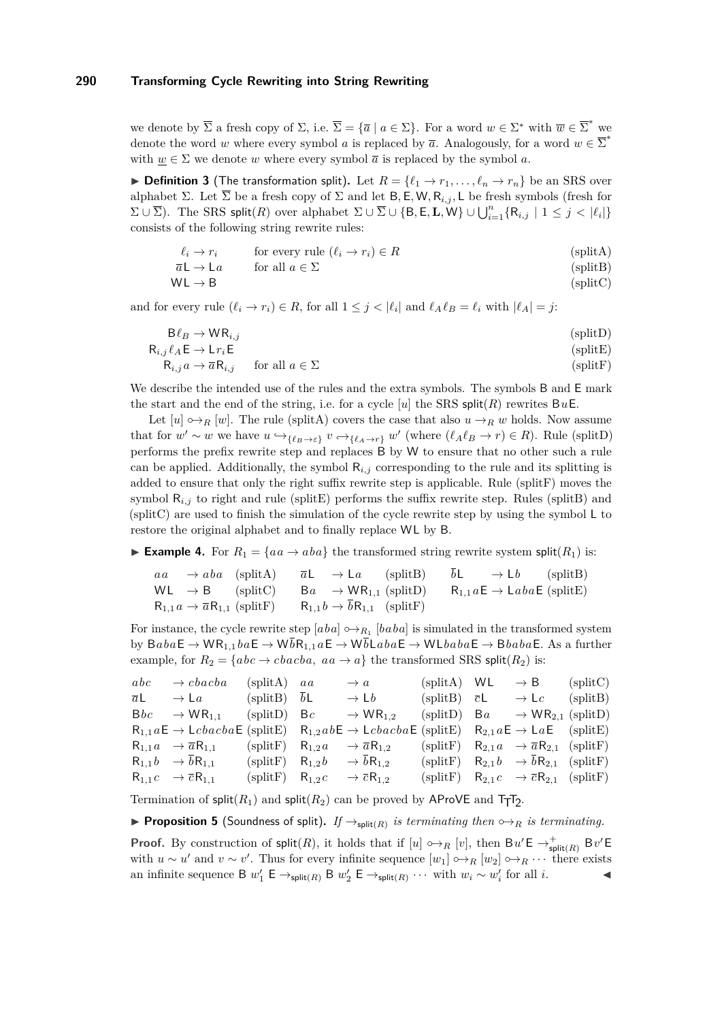we denote by  $\overline{\Sigma}$  a fresh copy of  $\Sigma$ , i.e.  $\overline{\Sigma} = {\overline{a} \mid a \in \Sigma}$ . For a word  $w \in \Sigma^*$  with  $\overline{w} \in \overline{\Sigma}^*$  we denote the word *w* where every symbol *a* is replaced by  $\overline{a}$ . Analogously, for a word  $w \in \overline{\Sigma}^*$ with  $w \in \Sigma$  we denote *w* where every symbol  $\overline{a}$  is replaced by the symbol *a*.

**Definition 3** (The transformation split). Let  $R = \{\ell_1 \to r_1, \ldots, \ell_n \to r_n\}$  be an SRS over alphabet Σ. Let  $\overline{\Sigma}$  be a fresh copy of Σ and let B, E, W, R<sub>*i,j*</sub>, L be fresh symbols (fresh for  $\Sigma \cup \overline{\Sigma}$ ). The SRS split(*R*) over alphabet  $\Sigma \cup \overline{\Sigma} \cup \{B, E, L, W\} \cup \bigcup_{i=1}^{n} \{R_{i,j} \mid 1 \leq j < |\ell_i|\}$ consists of the following string rewrite rules:

<span id="page-5-0"></span>
$$
\ell_i \to r_i \qquad \text{for every rule } (\ell_i \to r_i) \in R \tag{splitA}
$$

$$
\overline{a}\mathsf{L} \to \mathsf{L}a \qquad \text{for all } a \in \Sigma \tag{splitB}
$$

<span id="page-5-5"></span><span id="page-5-4"></span><span id="page-5-3"></span><span id="page-5-2"></span><span id="page-5-1"></span>
$$
WL \rightarrow B \tag{splitC}
$$

and for every rule  $(\ell_i \to r_i) \in R$ , for all  $1 \leq j < |\ell_i|$  and  $\ell_A \ell_B = \ell_i$  with  $|\ell_A| = j$ :

$$
B\ell_B \to WR_{i,j}
$$
 (splitD)  
\n
$$
R_{i,j}\ell_A \to L_{i'}E
$$
 (splitE)

$$
R_{i,j} \alpha \to \overline{\alpha} R_{i,j} \qquad \text{for all } a \in \Sigma
$$
 (splitF)

We describe the intended use of the rules and the extra symbols. The symbols B and E mark the start and the end of the string, i.e. for a cycle  $[u]$  the SRS split $(R)$  rewrites BuE.

Let  $[u] \rightarrow_R [w]$ . The rule [\(splitA\)](#page-5-0) covers the case that also  $u \rightarrow_R w$  holds. Now assume that for  $w' \sim w$  we have  $u \hookrightarrow_{\{\ell_B \to \varepsilon\}} v \hookrightarrow_{\{\ell_A \to r\}} w'$  (where  $(\ell_A \ell_B \to r) \in R$ ). Rule [\(splitD\)](#page-5-1) performs the prefix rewrite step and replaces B by W to ensure that no other such a rule can be applied. Additionally, the symbol  $R_{i,j}$  corresponding to the rule and its splitting is added to ensure that only the right suffix rewrite step is applicable. Rule [\(splitF\)](#page-5-2) moves the symbol  $R_{i,j}$  to right and rule [\(splitE\)](#page-5-3) performs the suffix rewrite step. Rules [\(splitB\)](#page-5-4) and [\(splitC\)](#page-5-5) are used to finish the simulation of the cycle rewrite step by using the symbol L to restore the original alphabet and to finally replace WL by B.

**Example 4.** For  $R_1 = \{aa \rightarrow aba\}$  the transformed string rewrite system split $(R_1)$  is:

$$
aa \rightarrow aba \quad \text{(splitA)} \quad \overline{a}L \rightarrow La \quad \text{(splitB)} \quad \overline{b}L \rightarrow Lb \quad \text{(splitB)}
$$
\n
$$
WL \rightarrow B \quad \text{(splitC)} \quad Ba \rightarrow WR_{1,1} \quad \text{(splitD)} \quad R_{1,1}aE \rightarrow LabaE \quad \text{(splitE)}
$$
\n
$$
R_{1,1}a \rightarrow \overline{a}R_{1,1} \quad \text{(splitF)} \quad R_{1,1}b \rightarrow \overline{b}R_{1,1} \quad \text{(splitF)}
$$

For instance, the cycle rewrite step  $[aba] \rightarrow R_1$   $[baba]$  is simulated in the transformed system by  $BabaE → WR_{1,1}baE → W\overline{b}R_{1,1}aE → W\overline{b}LabaE → WLbabaE → BbabaE$ . As a further example, for  $R_2 = \{abc \rightarrow cbacba, aa \rightarrow a\}$  the transformed SRS split( $R_2$ ) is:

| $abc \rightarrow cbacba$                                 | $(splitA) \quad aa$ | $\rightarrow a$                                                                                                                                             | (splitA) WL | $\rightarrow$ B                                              | (splitC) |
|----------------------------------------------------------|---------------------|-------------------------------------------------------------------------------------------------------------------------------------------------------------|-------------|--------------------------------------------------------------|----------|
| $\overline{a}L \rightarrow La$ (split B) $\overline{b}L$ |                     | $\rightarrow$ L <i>b</i> (splitB) $\bar{c}$ L                                                                                                               |             | $\rightarrow$ Lc (split B)                                   |          |
| $Bbc \rightarrow WR_{1,1}$ (splitD) Bc                   |                     | $\rightarrow$ WR <sub>1.2</sub> (splitD) Ba $\rightarrow$ WR <sub>2.1</sub> (splitD)                                                                        |             |                                                              |          |
|                                                          |                     | $R_{1,1}aE \rightarrow LcbacbaE$ (splitE) $R_{1,2}abE \rightarrow LcbacbaE$ (splitE) $R_{2,1}aE \rightarrow LaE$ (splitE)                                   |             |                                                              |          |
|                                                          |                     | $R_{1,1}a \rightarrow \overline{a}R_{1,1}$ (split $R_{1,2}a \rightarrow \overline{a}R_{1,2}$ (split $R_{2,1}a \rightarrow \overline{a}R_{2,1}$ (split $F$ ) |             |                                                              |          |
| $R_{1,1}b \rightarrow bR_{1,1}$                          |                     | (splitF) $R_{1,2}b \rightarrow bR_{1,2}$                                                                                                                    |             | (splitF) $R_{2,1}b \rightarrow bR_{2,1}$ (splitF)            |          |
| $R_{1,1}c \rightarrow \overline{c}R_{1,1}$               |                     | (splitF) $R_{1,2}c \rightarrow \overline{c}R_{1,2}$                                                                                                         |             | (splitF) $R_{2,1}c \rightarrow \overline{c}R_{2,1}$ (splitF) |          |

Termination of  $\text{split}(R_1)$  and  $\text{split}(R_2)$  can be proved by AProVE and  $T_T$ T<sub>2</sub>.

<span id="page-5-6"></span>**Proposition 5** (Soundness of split). If  $\rightarrow_{\text{split}(R)}$  is terminating then  $\rightarrow_{R}$  is terminating.

**Proof.** By construction of  $\text{split}(R)$ , it holds that if  $[u] \leftrightarrow_R [v]$ , then  $Bu' \mathsf{E} \to_{\text{split}(R)}^{\text{+}} Bv' \mathsf{E}$ with  $u \sim u'$  and  $v \sim v'$ . Thus for every infinite sequence  $[w_1] \rightarrowtail_R [w_2] \rightarrowtail_R \cdots$  there exists an infinite sequence B  $w'_1 \to \text{split}(R) \to w'_2 \to \text{split}(R) \cdots$  with  $w_i \sim w'_i$  for all *i*.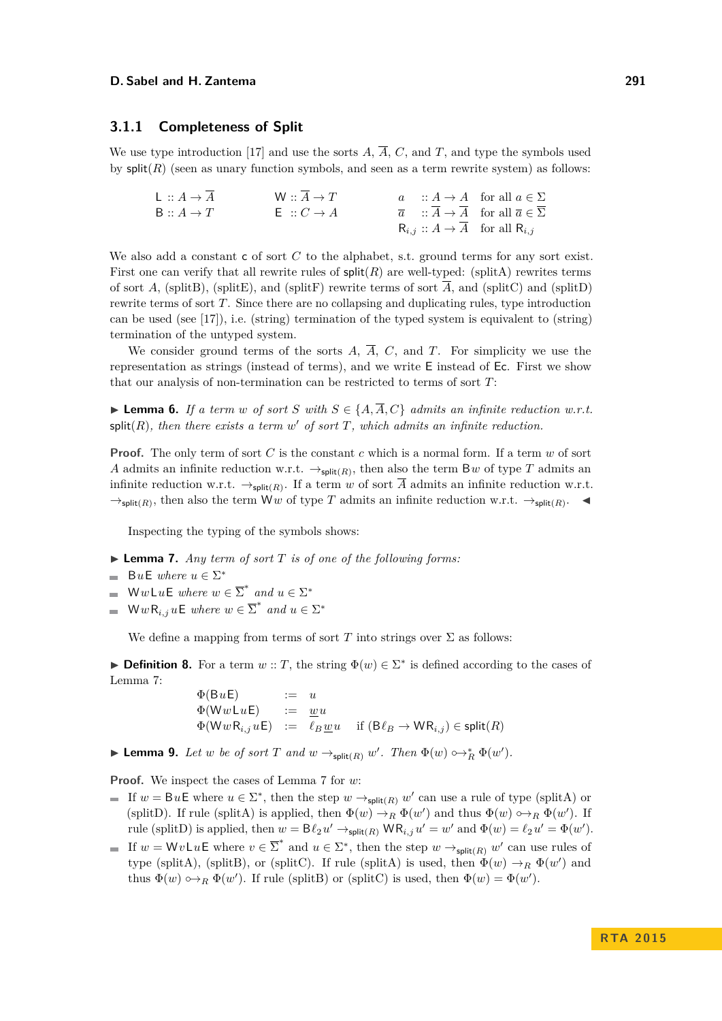#### **3.1.1 Completeness of Split**

We use type introduction [\[17\]](#page-15-10) and use the sorts  $\overline{A}$ ,  $\overline{A}$ ,  $C$ , and  $T$ , and type the symbols used by  $split(R)$  (seen as unary function symbols, and seen as a term rewrite system) as follows:

| $L :: A \rightarrow A$ | $W: A \rightarrow T$  |  | $a : A \rightarrow A$ for all $a \in \Sigma$                          |
|------------------------|-----------------------|--|-----------------------------------------------------------------------|
| $B: A \rightarrow T$   | $E : C \rightarrow A$ |  | $\overline{a}$ :: $A \rightarrow A$ for all $\overline{a} \in \Sigma$ |
|                        |                       |  | $R_{i,j}$ : $A \rightarrow A$ for all $R_{i,j}$                       |

We also add a constant c of sort C to the alphabet, s.t. ground terms for any sort exist. First one can verify that all rewrite rules of  $\text{split}(R)$  are well-typed: [\(splitA\)](#page-5-0) rewrites terms of sort *A*, [\(splitB\)](#page-5-4), [\(splitE\)](#page-5-3), and [\(splitF\)](#page-5-2) rewrite terms of sort  $\overline{A}$ , and [\(splitC\)](#page-5-5) and [\(splitD\)](#page-5-1) rewrite terms of sort *T*. Since there are no collapsing and duplicating rules, type introduction can be used (see [\[17\]](#page-15-10)), i.e. (string) termination of the typed system is equivalent to (string) termination of the untyped system.

We consider ground terms of the sorts  $A$ ,  $\overline{A}$ ,  $C$ , and  $T$ . For simplicity we use the representation as strings (instead of terms), and we write E instead of Ec. First we show that our analysis of non-termination can be restricted to terms of sort *T*:

<span id="page-6-1"></span>▶ **Lemma 6.** *If a term w of sort S with*  $S \in \{A, \overline{A}, C\}$  *admits an infinite reduction w.r.t.* split $(R)$ *, then there exists a term w' of sort*  $T$ *, which admits an infinite reduction.* 

**Proof.** The only term of sort *C* is the constant *c* which is a normal form. If a term *w* of sort *A* admits an infinite reduction w.r.t.  $\rightarrow_{split(R)}$ , then also the term B*w* of type *T* admits an infinite reduction w.r.t.  $\rightarrow_{split(R)}$ . If a term *w* of sort *A* admits an infinite reduction w.r.t.  $\rightarrow_{\text{split}(R)}$ , then also the term W*w* of type *T* admits an infinite reduction w.r.t.  $\rightarrow_{\text{split}(R)}$ .

Inspecting the typing of the symbols shows:

- <span id="page-6-0"></span> $\blacktriangleright$  **Lemma 7.** *Any term of sort T is of one of the following forms:*
- $B u E$  *where*  $u \in \Sigma^*$
- $WwLuE$  *where*  $w \in \overline{\Sigma}^*$  *and*  $u \in \Sigma^*$
- $WwR_{i,j}uE$  *where*  $w \in \overline{\Sigma}^*$  *and*  $u \in \Sigma^*$

We define a mapping from terms of sort *T* into strings over  $\Sigma$  as follows:

**Definition 8.** For a term  $w$  :: *T*, the string  $\Phi(w) \in \Sigma^*$  is defined according to the cases of Lemma [7:](#page-6-0)

> $\Phi(BuE)$  := *u*  $\Phi(\mathsf{W} w \mathsf{L} u \mathsf{E})$  :=  $\underline{w} u$  $\Phi(\mathsf{W} w \mathsf{R}_{i,j} u \mathsf{E}) \quad := \quad \ell_B \underline{w} u \quad \text{ if } (\mathsf{B} \ell_B \to \mathsf{W} \mathsf{R}_{i,j}) \in \mathsf{split}(R)$

<span id="page-6-2"></span>► **Lemma 9.** *Let w be of sort T and*  $w \rightarrow_{\text{split}(R)} w'$ *. Then*  $\Phi(w) \rightarrow_R^* \Phi(w')$ *.* 

**Proof.** We inspect the cases of Lemma [7](#page-6-0) for *w*:

- If  $w = BuE$  where  $u \in \Sigma^*$ , then the step  $w \to_{\text{split}(R)} w'$  can use a rule of type [\(splitA\)](#page-5-0) or [\(splitD\)](#page-5-1). If rule [\(splitA\)](#page-5-0) is applied, then  $\Phi(w) \to_R \Phi(w')$  and thus  $\Phi(w) \to_R \Phi(w')$ . If rule [\(splitD\)](#page-5-1) is applied, then  $w = \mathsf{B}\ell_2 u' \to_{\mathsf{split}(R)} \mathsf{W}\mathsf{R}_{i,j} u' = w'$  and  $\Phi(w) = \ell_2 u' = \Phi(w').$
- If  $w = Wv \mathsf{L} u \mathsf{E}$  where  $v \in \overline{\Sigma}^*$  and  $u \in \Sigma^*$ , then the step  $w \to_{\mathsf{split}(R)} w'$  can use rules of type [\(splitA\)](#page-5-0), [\(splitB\)](#page-5-4), or [\(splitC\)](#page-5-5). If rule (splitA) is used, then  $\Phi(w) \to_R \Phi(w')$  and thus  $\Phi(w) \hookrightarrow_R \Phi(w')$ . If rule [\(splitB\)](#page-5-4) or [\(splitC\)](#page-5-5) is used, then  $\Phi(w) = \Phi(w')$ .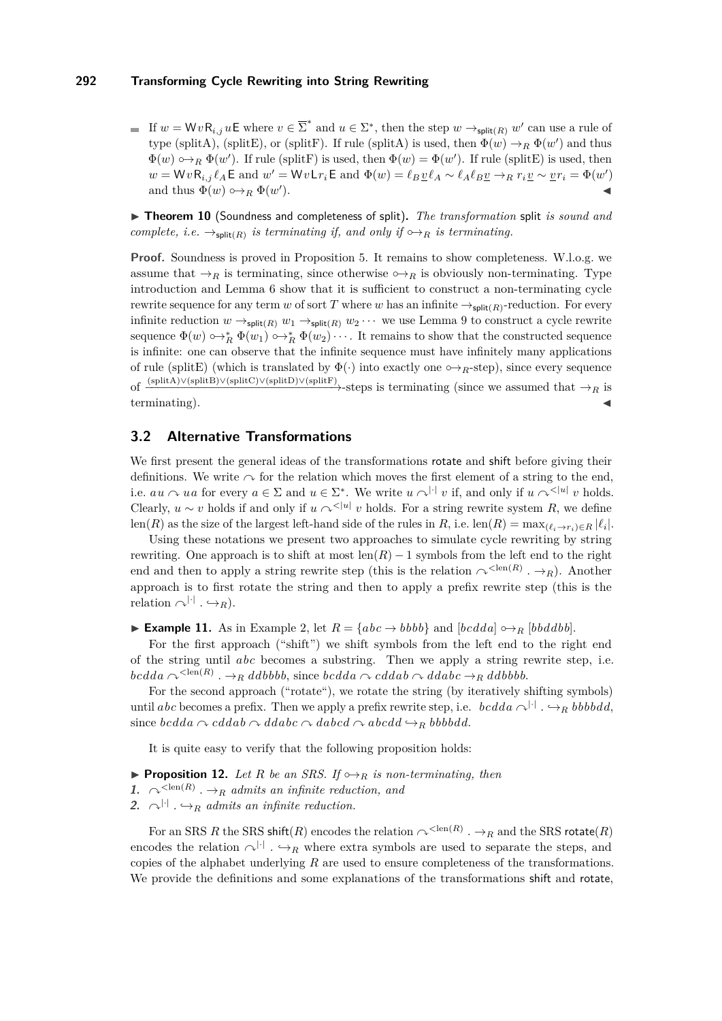If  $w = WvR_{i,j}uE$  where  $v \in \overline{\Sigma}^*$  and  $u \in \Sigma^*$ , then the step  $w \to_{\text{split}(R)} w'$  can use a rule of type [\(splitA\)](#page-5-0), [\(splitE\)](#page-5-3), or [\(splitF\)](#page-5-2). If rule (splitA) is used, then  $\Phi(w) \to_R \Phi(w')$  and thus  $\Phi(w) \rightarrow_R \Phi(w')$ . If rule [\(splitF\)](#page-5-2) is used, then  $\Phi(w) = \Phi(w')$ . If rule [\(splitE\)](#page-5-3) is used, then  $w = WvR_{i,j}\ell_A \mathsf{E}$  and  $w' = Wv\mathsf{L}r_i\mathsf{E}$  and  $\Phi(w) = \ell_B \underline{v}\ell_A \sim \ell_A \ell_B \underline{v} \rightarrow_R r_i \underline{v} \sim \underline{v}r_i = \Phi(w')$ and thus  $\Phi(w) \hookrightarrow_R \Phi(w)$  $\blacksquare$ ).

▶ Theorem 10 (Soundness and completeness of split). The transformation split *is sound and complete, i.e.*  $\rightarrow_{\text{split}(R)}$  *is terminating if, and only if*  $\rightarrow_{R}$  *is terminating.* 

**Proof.** Soundness is proved in Proposition [5.](#page-5-6) It remains to show completeness. W.l.o.g. we assume that  $\rightarrow_R$  is terminating, since otherwise  $\rightarrow_R$  is obviously non-terminating. Type introduction and Lemma [6](#page-6-1) show that it is sufficient to construct a non-terminating cycle rewrite sequence for any term *w* of sort *T* where *w* has an infinite  $\rightarrow_{\text{split}(R)}$ -reduction. For every infinite reduction  $w \rightarrow_{\text{split}(R)} w_1 \rightarrow_{\text{split}(R)} w_2 \cdots$  we use Lemma [9](#page-6-2) to construct a cycle rewrite sequence  $\Phi(w) \rightarrow_R^* \Phi(w_1) \rightarrow_R^* \Phi(w_2) \cdots$ . It remains to show that the constructed sequence is infinite: one can observe that the infinite sequence must have infinitely many applications of rule [\(splitE\)](#page-5-3) (which is translated by  $\Phi(\cdot)$  into exactly one  $\hookrightarrow_R$ -step), since every sequence of  $\xrightarrow{\text{(splitA)} \vee (\text{splitB}) \vee (\text{splitD}) \vee (\text{splitD}) \vee (\text{splitD})}$  $\xrightarrow{\text{(splitA)} \vee (\text{splitB}) \vee (\text{splitD}) \vee (\text{splitD}) \vee (\text{splitD})}$  $\xrightarrow{\text{(splitA)} \vee (\text{splitB}) \vee (\text{splitD}) \vee (\text{splitD}) \vee (\text{splitD})}$ -steps is terminating (since we assumed that  $\rightarrow_R$  is terminating).

# **3.2 Alternative Transformations**

We first present the general ideas of the transformations rotate and shift before giving their definitions. We write  $\sim$  for the relation which moves the first element of a string to the end, i.e.  $au \sim ua$  for every  $a \in \Sigma$  and  $u \in \Sigma^*$ . We write  $u \sim^{|\cdot|} v$  if, and only if  $u \sim^{|\cdot|} v$  holds. Clearly,  $u \sim v$  holds if and only if  $u \sim^{(|u|)} v$  holds. For a string rewrite system R, we define len(*R*) as the size of the largest left-hand side of the rules in *R*, i.e. len(*R*) =  $\max_{(\ell_i \to r_i) \in R} |\ell_i|$ .

Using these notations we present two approaches to simulate cycle rewriting by string rewriting. One approach is to shift at most  $\text{len}(R) - 1$  symbols from the left end to the right end and then to apply a string rewrite step (this is the relation  $\curvearrowright^{\leq \text{len}(R)} \cdot \rightarrow_R$ ). Another approach is to first rotate the string and then to apply a prefix rewrite step (this is the relation  $\bigcap$ <sup>|-|</sup>  $\cdot \hookrightarrow_R$ .

**► Example 11.** As in Example [2,](#page-4-3) let  $R = \{abc \rightarrow bbbb\}$  and  $[bcdda] \rightarrow_R [bbddbb]$ .

For the first approach ("shift") we shift symbols from the left end to the right end of the string until *abc* becomes a substring. Then we apply a string rewrite step, i.e.  $\emph{bcdda} \sim^{\text{ .  $\rightarrow_R \emph{ddbbbb},$  since  $\emph{bcdda} \sim \emph{cddab} \sim \emph{ddbbb}.$$ 

For the second approach ("rotate"), we rotate the string (by iteratively shifting symbols) until *abc* becomes a prefix. Then we apply a prefix rewrite step, i.e. *bcdda*  $\sim$ <sup>[.]</sup>  $\rightarrow$ *R bbbbdd*, since *bcdda*  $\sim$  *cddab*  $\sim$  *ddabc*  $\sim$  *dabcd*  $\sim$  *abcdd*  $\hookrightarrow$ *R bbbbdd.* 

It is quite easy to verify that the following proposition holds:

- <span id="page-7-0"></span>**Proposition 12.** *Let*  $R$  *be an SRS. If*  $\rightarrow R$  *is non-terminating, then*
- **1.**  $\curvearrowright^{\leq \text{len}(R)} \cdot \rightarrow_R$  *admits an infinite reduction, and*

2.  $\alpha^{|\cdot|}$  *.*  $\hookrightarrow_R$  *admits an infinite reduction.* 

For an SRS *R* the SRS shift(*R*) encodes the relation  $\curvearrowright^{\leq \text{len}(R)}$  .  $\rightarrow_R$  and the SRS rotate(*R*) encodes the relation  $\bigcap^{|\cdot|}$ .  $\hookrightarrow_R$  where extra symbols are used to separate the steps, and copies of the alphabet underlying *R* are used to ensure completeness of the transformations. We provide the definitions and some explanations of the transformations shift and rotate,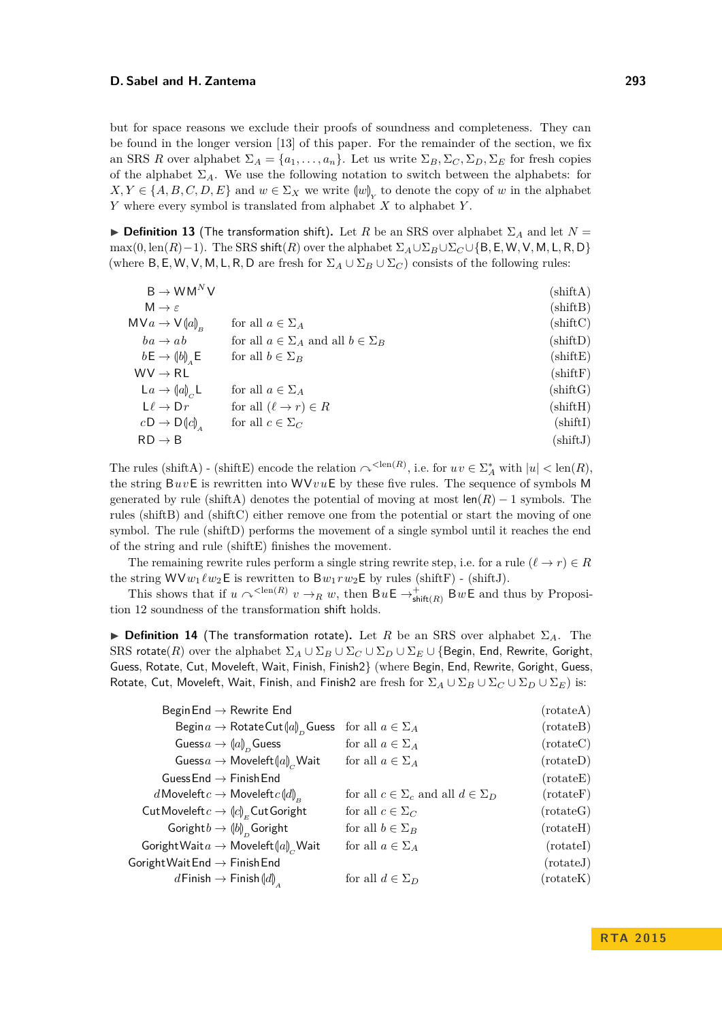but for space reasons we exclude their proofs of soundness and completeness. They can be found in the longer version [\[13\]](#page-15-9) of this paper. For the remainder of the section, we fix an SRS *R* over alphabet  $\Sigma_A = \{a_1, \ldots, a_n\}$ . Let us write  $\Sigma_B$ ,  $\Sigma_C$ ,  $\Sigma_D$ ,  $\Sigma_E$  for fresh copies of the alphabet  $\Sigma_A$ . We use the following notation to switch between the alphabets: for  $X, Y \in \{A, B, C, D, E\}$  and  $w \in \Sigma_X$  we write  $\langle w \rangle_Y$  to denote the copy of *w* in the alphabet<br>*Y* where cover smalled intervalated from alphabet *Y* to alphabet *Y Y* where every symbol is translated from alphabet *X* to alphabet *Y* .

**Definition 13** (The transformation shift). Let *R* be an SRS over alphabet  $\Sigma_A$  and let  $N =$  $\max(0, \text{len}(R)-1)$ . The SRS shift $(R)$  over the alphabet  $\Sigma_A \cup \Sigma_B \cup \Sigma_C \cup \{B, E, W, V, M, L, R, D\}$ (where B, E, W, V, M, L, R, D are fresh for  $\Sigma_A \cup \Sigma_B \cup \Sigma_C$ ) consists of the following rules:

<span id="page-8-5"></span><span id="page-8-4"></span><span id="page-8-3"></span><span id="page-8-2"></span><span id="page-8-1"></span><span id="page-8-0"></span>

|                                                   | $(\text{shiftA})$   |
|---------------------------------------------------|---------------------|
|                                                   | $(\text{shiftB})$   |
| for all $a \in \Sigma_A$                          | $(\text{shiftC})$   |
| for all $a \in \Sigma_A$ and all $b \in \Sigma_B$ | $(\text{shiftD})$   |
| for all $b \in \Sigma_B$                          | $(\text{shiftE})$   |
|                                                   | $(\text{shiftF})$   |
| for all $a \in \Sigma_A$                          | $(\mathrm{shiftG})$ |
| for all $(\ell \to r) \in R$                      | $(\text{shiftH})$   |
| for all $c \in \Sigma_C$                          | $(\text{shiftI})$   |
|                                                   | $(\text{shiftJ})$   |
|                                                   |                     |

<span id="page-8-6"></span>The rules [\(shiftA\)](#page-8-0) - [\(shiftE\)](#page-8-1) encode the relation  $\curvearrowright^{\langle \text{len}(R) \rangle}$ , i.e. for  $uv \in \Sigma_A^*$  with  $|u| < \text{len}(R)$ , the string B*uv*E is rewritten into WV*v u*E by these five rules. The sequence of symbols M generated by rule [\(shiftA\)](#page-8-0) denotes the potential of moving at most  $\text{len}(R) - 1$  symbols. The rules [\(shiftB\)](#page-8-2) and [\(shiftC\)](#page-8-3) either remove one from the potential or start the moving of one symbol. The rule [\(shiftD\)](#page-8-4) performs the movement of a single symbol until it reaches the end of the string and rule [\(shiftE\)](#page-8-1) finishes the movement.

The remaining rewrite rules perform a single string rewrite step, i.e. for a rule  $(\ell \to r) \in R$ the string  $WVw_1 \ell w_2 \mathsf{E}$  is rewritten to  $Bw_1rw_2 \mathsf{E}$  by rules [\(shiftF\)](#page-8-5) - [\(shiftJ\)](#page-8-6).

This shows that if  $u \sim^{<\text{len}(R)} v \rightarrow_R w$ , then  $B u \in \rightarrow^+_{\text{shift}(R)} B w \in \text{and thus by Proposition}$ tion [12](#page-7-0) soundness of the transformation shift holds.

**Definition 14** (The transformation rotate). Let *R* be an SRS over alphabet  $\Sigma_A$ . The SRS rotate(*R*) over the alphabet  $\Sigma_A \cup \Sigma_B \cup \Sigma_C \cup \Sigma_D \cup \Sigma_E \cup \{\text{Begin, End, Rewrite, Goright,}$ Guess, Rotate, Cut, Moveleft, Wait, Finish, Finish2} (where Begin, End, Rewrite, Goright, Guess, Rotate, Cut, Moveleft, Wait, Finish, and Finish2 are fresh for  $\Sigma_A \cup \Sigma_B \cup \Sigma_C \cup \Sigma_D \cup \Sigma_E$ ) is:

<span id="page-8-17"></span><span id="page-8-16"></span><span id="page-8-15"></span><span id="page-8-14"></span><span id="page-8-13"></span><span id="page-8-12"></span><span id="page-8-11"></span><span id="page-8-10"></span><span id="page-8-9"></span><span id="page-8-8"></span><span id="page-8-7"></span>

| Begin End $\rightarrow$ Rewrite End                        |                                                   | (rotateA)          |
|------------------------------------------------------------|---------------------------------------------------|--------------------|
| Begin $a \to \text{RotateCut}(a)$ <sub>n</sub> Guess       | for all $a \in \Sigma_A$                          | (rotateB)          |
| Guess $a \to (a)_n$ Guess                                  | for all $a \in \Sigma_A$                          | (rotateC)          |
| Guess $a \to M$ oveleft $[a]_c$ Wait                       | for all $a \in \Sigma_A$                          | (rotateD)          |
| Guess End $\rightarrow$ Finish End                         |                                                   | (rotateE)          |
| d Moveleft $c \to M$ oveleft $c \llbracket d \rrbracket_p$ | for all $c \in \Sigma_c$ and all $d \in \Sigma_D$ | $(\text{rotateF})$ |
| Cut Moveleft $c \to (c)_r$ Cut Goright                     | for all $c \in \Sigma_C$                          | (rotateG)          |
| Goright $b \to (b)$ <sub>n</sub> Goright                   | for all $b \in \Sigma_B$                          | (rotateH)          |
| Goright Wait $a \to M$ oveleft $[a]_c$ Wait                | for all $a \in \Sigma_A$                          | (rotateI)          |
| Goright Wait End $\rightarrow$ Finish End                  |                                                   | (rotateJ)          |
| $d$ Finish $\rightarrow$ Finish $\llbracket d \rrbracket$  | for all $d \in \Sigma_D$                          | $(\text{rotateK})$ |
|                                                            |                                                   |                    |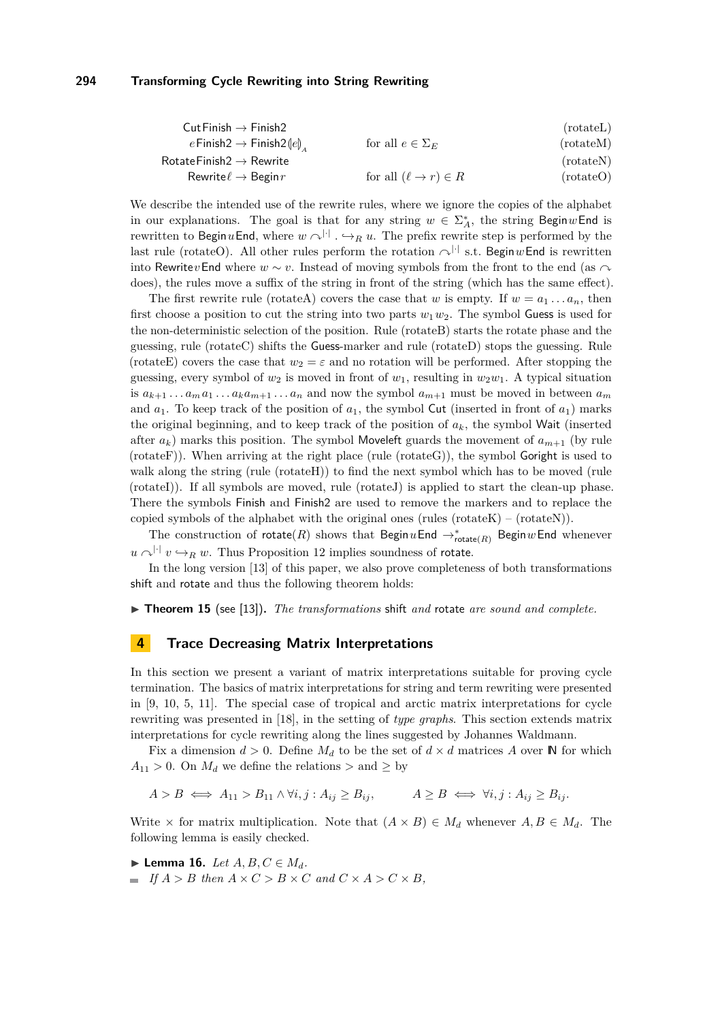<span id="page-9-2"></span><span id="page-9-1"></span>

|                              | (rotateL)  |
|------------------------------|------------|
| for all $e \in \Sigma_F$     | (rotate M) |
|                              | (rotate N) |
| for all $(\ell \to r) \in R$ | (rotate()  |
|                              |            |

We describe the intended use of the rewrite rules, where we ignore the copies of the alphabet in our explanations. The goal is that for any string  $w \in \Sigma_A^*$ , the string Begin wEnd is rewritten to Begin *u*End, where  $w \sim |v|$ .  $\rightarrow_R u$ . The prefix rewrite step is performed by the last rule [\(rotateO\)](#page-9-1). All other rules perform the rotation  $\bigtriangleup^{|\cdot|}$  s.t. BeginwEnd is rewritten into Rewrite *v*End where  $w \sim v$ . Instead of moving symbols from the front to the end (as  $\cap$ does), the rules move a suffix of the string in front of the string (which has the same effect).

The first rewrite rule [\(rotateA\)](#page-8-7) covers the case that *w* is empty. If  $w = a_1 \ldots a_n$ , then first choose a position to cut the string into two parts  $w_1 w_2$ . The symbol Guess is used for the non-deterministic selection of the position. Rule [\(rotateB\)](#page-8-8) starts the rotate phase and the guessing, rule [\(rotateC\)](#page-8-9) shifts the Guess-marker and rule [\(rotateD\)](#page-8-10) stops the guessing. Rule [\(rotateE\)](#page-8-11) covers the case that  $w_2 = \varepsilon$  and no rotation will be performed. After stopping the guessing, every symbol of  $w_2$  is moved in front of  $w_1$ , resulting in  $w_2w_1$ . A typical situation is  $a_{k+1} \ldots a_m a_1 \ldots a_k a_{m+1} \ldots a_n$  and now the symbol  $a_{m+1}$  must be moved in between  $a_m$ and  $a_1$ . To keep track of the position of  $a_1$ , the symbol Cut (inserted in front of  $a_1$ ) marks the original beginning, and to keep track of the position of  $a_k$ , the symbol Wait (inserted after  $a_k$ ) marks this position. The symbol Moveleft guards the movement of  $a_{m+1}$  (by rule  $(rotateF)$ ). When arriving at the right place  $(\text{rule} (rotateG))$  $(\text{rule} (rotateG))$  $(\text{rule} (rotateG))$ , the symbol Goright is used to walk along the string (rule [\(rotateH\)](#page-8-14)) to find the next symbol which has to be moved (rule [\(rotateI\)](#page-8-15)). If all symbols are moved, rule [\(rotateJ\)](#page-8-16) is applied to start the clean-up phase. There the symbols Finish and Finish2 are used to remove the markers and to replace the copied symbols of the alphabet with the original ones (rules [\(rotateK\)](#page-8-17) – [\(rotateN\)](#page-9-2)).

The construction of  $rotate(R)$  shows that  $\text{Begin } u \text{End } \rightarrow_{rotate(R)}^* \text{Begin } w \text{End}$  whenever  $u \sim^{|\cdot|} v \hookrightarrow_R w$ . Thus Proposition [12](#page-7-0) implies soundness of rotate.

In the long version [\[13\]](#page-15-9) of this paper, we also prove completeness of both transformations shift and rotate and thus the following theorem holds:

▶ **Theorem 15** (see [\[13\]](#page-15-9)). *The transformations* shift *and* rotate *are sound and complete.* 

#### <span id="page-9-0"></span>**4 Trace Decreasing Matrix Interpretations**

In this section we present a variant of matrix interpretations suitable for proving cycle termination. The basics of matrix interpretations for string and term rewriting were presented in [\[9,](#page-15-11) [10,](#page-15-12) [5,](#page-15-13) [11\]](#page-15-14). The special case of tropical and arctic matrix interpretations for cycle rewriting was presented in [\[18\]](#page-15-2), in the setting of *type graphs*. This section extends matrix interpretations for cycle rewriting along the lines suggested by Johannes Waldmann.

Fix a dimension  $d > 0$ . Define  $M_d$  to be the set of  $d \times d$  matrices A over N for which  $A_{11} > 0$ . On  $M_d$  we define the relations  $>$  and  $\geq$  by

$$
A > B \iff A_{11} > B_{11} \land \forall i, j : A_{ij} \ge B_{ij}, \qquad A \ge B \iff \forall i, j : A_{ij} \ge B_{ij}.
$$

Write  $\times$  for matrix multiplication. Note that  $(A \times B) \in M_d$  whenever  $A, B \in M_d$ . The following lemma is easily checked.

<span id="page-9-3"></span>▶ **Lemma 16.** *Let*  $A, B, C \in M_d$ *.* 

 $\blacksquare$  *If*  $A > B$  *then*  $A \times C > B \times C$  *and*  $C \times A > C \times B$ *,*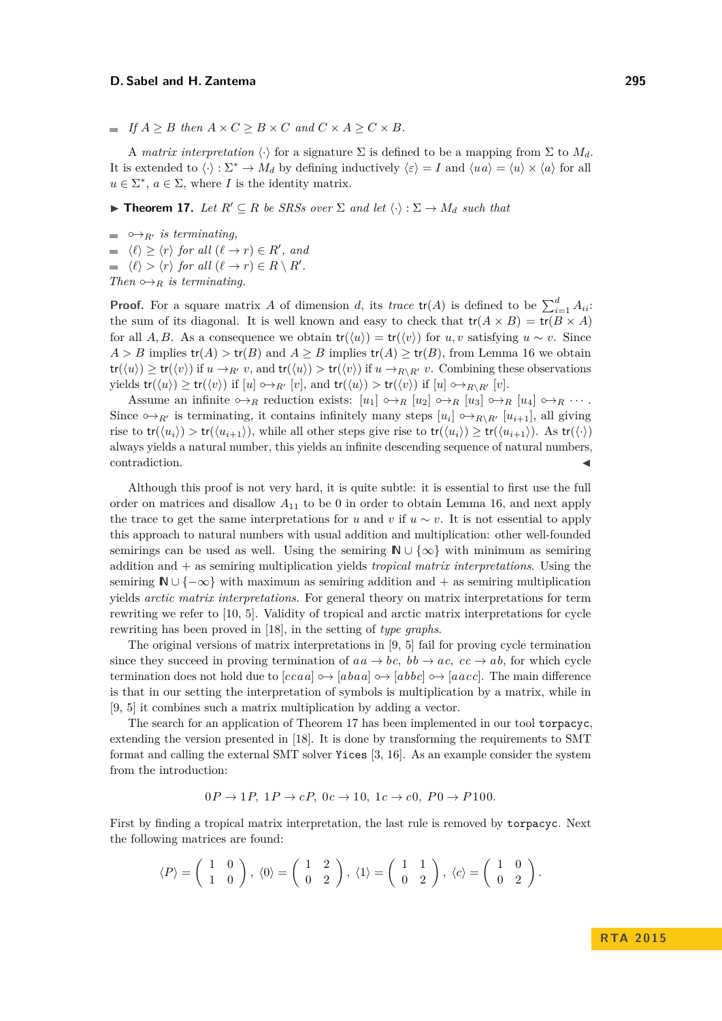$\blacksquare$  *If*  $A \geq B$  *then*  $A \times C \geq B \times C$  *and*  $C \times A \geq C \times B$ *.* 

A *matrix interpretation*  $\langle \cdot \rangle$  for a signature  $\Sigma$  is defined to be a mapping from  $\Sigma$  to  $M_d$ . It is extended to  $\langle \cdot \rangle : \Sigma^* \to M_d$  by defining inductively  $\langle \varepsilon \rangle = I$  and  $\langle u a \rangle = \langle u \rangle \times \langle a \rangle$  for all  $u \in \Sigma^*$ ,  $a \in \Sigma$ , where *I* is the identity matrix.

<span id="page-10-0"></span>**► Theorem 17.** Let  $R' ⊆ R$  be SRSs over  $\Sigma$  and let  $\langle \cdot \rangle : \Sigma \to M_d$  such that

 $ightharpoonup$ <sup> $\phi$ </sup><sub>*R'</sub> is terminating.*</sub>  $\langle \ell \rangle \geq \langle r \rangle$  for all  $(\ell \to r) \in R'$ , and  $\langle \ell \rangle > \langle r \rangle$  for all  $(\ell \to r) \in R \setminus R'$ .

*Then*  $\hookrightarrow_R$  *is terminating.* 

**Proof.** For a square matrix *A* of dimension *d*, its *trace*  $tr(A)$  is defined to be  $\sum_{i=1}^{d} A_{ii}$ . the sum of its diagonal. It is well known and easy to check that  $tr(A \times B) = tr(B \times A)$ for all *A, B*. As a consequence we obtain  $tr(\langle u \rangle) = tr(\langle v \rangle)$  for *u, v* satisfying  $u \sim v$ . Since  $A > B$  implies  $tr(A) > tr(B)$  and  $A \geq B$  implies  $tr(A) \geq tr(B)$ , from Lemma [16](#page-9-3) we obtain  $tr(\langle u \rangle) \geq tr(\langle v \rangle)$  if  $u \to_{R'} v$ , and  $tr(\langle u \rangle) > tr(\langle v \rangle)$  if  $u \to_{R\setminus R'} v$ . Combining these observations yields  $tr(\langle u \rangle) \geq tr(\langle v \rangle)$  if  $[u] \leftrightarrow_{R'} [v]$ , and  $tr(\langle u \rangle) > tr(\langle v \rangle)$  if  $[u] \leftrightarrow_{R \setminus R'} [v]$ .

Assume an infinite  $\phi \rightarrow_R$  reduction exists:  $[u_1] \rightarrow_R [u_2] \rightarrow_R [u_3] \rightarrow_R [u_4] \rightarrow_R \cdots$ . Since  $\rightarrow_{R'}$  is terminating, it contains infinitely many steps  $[u_i] \rightarrow_{R\setminus R'} [u_{i+1}]$ , all giving rise to  $tr(\langle u_i \rangle) > tr(\langle u_{i+1} \rangle)$ , while all other steps give rise to  $tr(\langle u_i \rangle) \geq tr(\langle u_{i+1} \rangle)$ . As  $tr(\langle \cdot \rangle)$ always yields a natural number, this yields an infinite descending sequence of natural numbers, contradiction.

Although this proof is not very hard, it is quite subtle: it is essential to first use the full order on matrices and disallow *A*<sup>11</sup> to be 0 in order to obtain Lemma [16,](#page-9-3) and next apply the trace to get the same interpretations for *u* and *v* if  $u \sim v$ . It is not essential to apply this approach to natural numbers with usual addition and multiplication: other well-founded semirings can be used as well. Using the semiring  $\mathbb{N} \cup \{\infty\}$  with minimum as semiring addition and + as semiring multiplication yields *tropical matrix interpretations*. Using the semiring  $\mathbb{N} \cup \{-\infty\}$  with maximum as semiring addition and + as semiring multiplication yields *arctic matrix interpretations*. For general theory on matrix interpretations for term rewriting we refer to [\[10,](#page-15-12) [5\]](#page-15-13). Validity of tropical and arctic matrix interpretations for cycle rewriting has been proved in [\[18\]](#page-15-2), in the setting of *type graphs*.

The original versions of matrix interpretations in [\[9,](#page-15-11) [5\]](#page-15-13) fail for proving cycle termination since they succeed in proving termination of  $aa \rightarrow bc$ ,  $bb \rightarrow ac$ ,  $cc \rightarrow ab$ , for which cycle termination does not hold due to  $|ccaa| \rightarrow |abaa| \rightarrow |abbc| \rightarrow |aacc|$ . The main difference is that in our setting the interpretation of symbols is multiplication by a matrix, while in [\[9,](#page-15-11) [5\]](#page-15-13) it combines such a matrix multiplication by adding a vector.

The search for an application of Theorem [17](#page-10-0) has been implemented in our tool torpacyc, extending the version presented in [\[18\]](#page-15-2). It is done by transforming the requirements to SMT format and calling the external SMT solver Yices [\[3,](#page-15-15) [16\]](#page-15-16). As an example consider the system from the introduction:

$$
0P \rightarrow 1P, 1P \rightarrow cP, 0c \rightarrow 10, 1c \rightarrow c0, P0 \rightarrow P100.
$$

First by finding a tropical matrix interpretation, the last rule is removed by torpacyc. Next the following matrices are found:

$$
\langle P \rangle = \begin{pmatrix} 1 & 0 \\ 1 & 0 \end{pmatrix}, \langle 0 \rangle = \begin{pmatrix} 1 & 2 \\ 0 & 2 \end{pmatrix}, \langle 1 \rangle = \begin{pmatrix} 1 & 1 \\ 0 & 2 \end{pmatrix}, \langle c \rangle = \begin{pmatrix} 1 & 0 \\ 0 & 2 \end{pmatrix}.
$$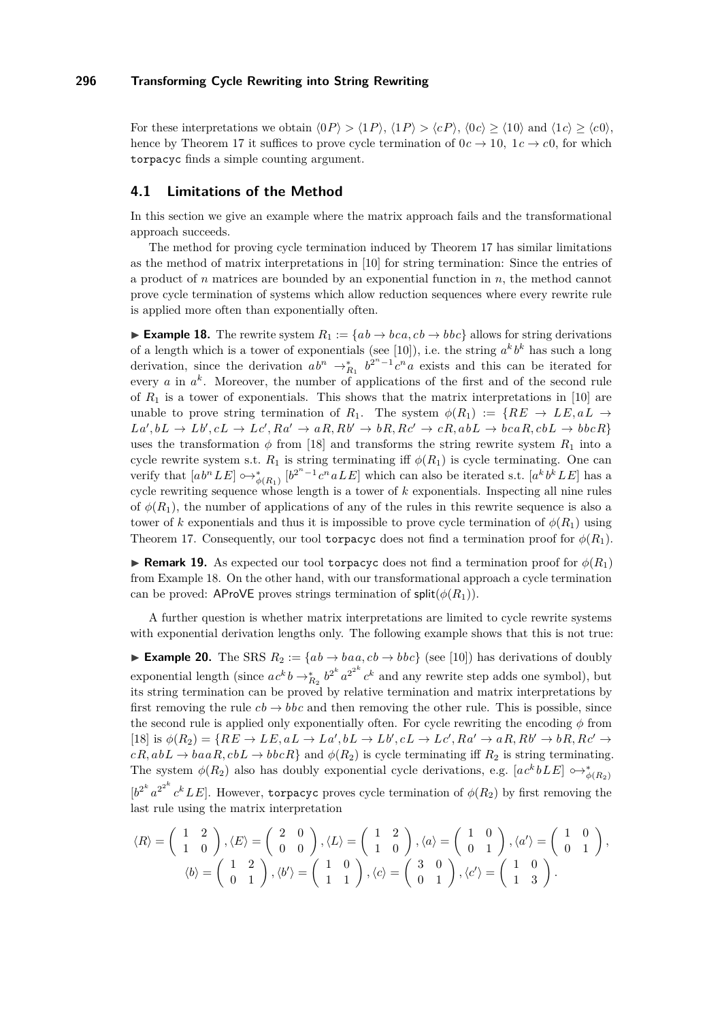For these interpretations we obtain  $\langle 0P \rangle > \langle 1P \rangle$ ,  $\langle 1P \rangle > \langle cP \rangle$ ,  $\langle 0c \rangle \ge \langle 10 \rangle$  and  $\langle 1c \rangle \ge \langle c0 \rangle$ , hence by Theorem [17](#page-10-0) it suffices to prove cycle termination of  $0c \rightarrow 10$ ,  $1c \rightarrow c0$ , for which torpacyc finds a simple counting argument.

# **4.1 Limitations of the Method**

In this section we give an example where the matrix approach fails and the transformational approach succeeds.

The method for proving cycle termination induced by Theorem [17](#page-10-0) has similar limitations as the method of matrix interpretations in [\[10\]](#page-15-12) for string termination: Since the entries of a product of *n* matrices are bounded by an exponential function in *n*, the method cannot prove cycle termination of systems which allow reduction sequences where every rewrite rule is applied more often than exponentially often.

<span id="page-11-0"></span>**■ Example 18.** The rewrite system  $R_1 := \{ab \rightarrow bca, cb \rightarrow bbc\}$  allows for string derivations of a length which is a tower of exponentials (see [\[10\]](#page-15-12)), i.e. the string  $a^k b^k$  has such a long derivation, since the derivation  $ab^n \rightarrow_{R_1}^* b^{2^n-1} c^n a$  exists and this can be iterated for every  $a$  in  $a^k$ . Moreover, the number of applications of the first and of the second rule of  $R_1$  is a tower of exponentials. This shows that the matrix interpretations in [\[10\]](#page-15-12) are unable to prove string termination of  $R_1$ . The system  $\phi(R_1) := \{RE \rightarrow LE, aL \rightarrow$  $La', bL \rightarrow Lb', cL \rightarrow Lc', Ra' \rightarrow aR, Rb' \rightarrow bR, Rc' \rightarrow cR, abL \rightarrow bcaR, cbL \rightarrow bbcR$ uses the transformation  $\phi$  from [\[18\]](#page-15-2) and transforms the string rewrite system  $R_1$  into a cycle rewrite system s.t.  $R_1$  is string terminating iff  $\phi(R_1)$  is cycle terminating. One can verify that  $[a b^n L E] \rightarrow_{\phi(R_1)}^* [b^{2^n-1} c^n a L E]$  which can also be iterated s.t.  $[a^k b^k L E]$  has a cycle rewriting sequence whose length is a tower of *k* exponentials. Inspecting all nine rules of  $\phi(R_1)$ , the number of applications of any of the rules in this rewrite sequence is also a tower of *k* exponentials and thus it is impossible to prove cycle termination of  $\phi(R_1)$  using Theorem [17.](#page-10-0) Consequently, our tool torpacyc does not find a termination proof for  $\phi(R_1)$ .

**Remark 19.** As expected our tool torpacyc does not find a termination proof for  $\phi(R_1)$ from Example [18.](#page-11-0) On the other hand, with our transformational approach a cycle termination can be proved: AProVE proves strings termination of  $\text{split}(\phi(R_1)).$ 

A further question is whether matrix interpretations are limited to cycle rewrite systems with exponential derivation lengths only. The following example shows that this is not true:

**► Example 20.** The SRS  $R_2 := \{ab \rightarrow baa, cb \rightarrow bbc\}$  (see [\[10\]](#page-15-12)) has derivations of doubly exponential length (since  $ac^k b \rightarrow_{R_2}^* b^{2^k} a^{2^{2^k}} c^k$  and any rewrite step adds one symbol), but its string termination can be proved by relative termination and matrix interpretations by first removing the rule  $cb \rightarrow bbc$  and then removing the other rule. This is possible, since the second rule is applied only exponentially often. For cycle rewriting the encoding  $\phi$  from [\[18\]](#page-15-2) is  $\phi(R_2) = \{RE \to LE, aL \to La', bL \to Lb', cL \to Lc', Ra' \to aR, Rb' \to bR, Rc' \to bR, Rb' \to bR, Rb' \to bR, Rb' \to bR, Rb' \to bR, Rb' \to bR, Rb' \to bR, Rb' \to bR, Rb' \to bR, Rb' \to bR, Rb' \to bR, Rb' \to bR, Rb' \to bR, Rb' \to bR, Rb' \to bR, Rb' \to bR, Rb' \to bR, Rb' \to bR, Rb' \to bR, Rb' \to bR, Rb'$  $cR, abL \rightarrow baaR, cbL \rightarrow bbcR$  and  $\phi(R_2)$  is cycle terminating iff  $R_2$  is string terminating. The system  $\phi(R_2)$  also has doubly exponential cycle derivations, e.g.  $[a c^k b L E] \circ \rightarrow_{\phi(R_2)}^*$  $[b^{2^k} a^{2^{2^k}} c^k L E]$ . However, torpacyc proves cycle termination of  $\phi(R_2)$  by first removing the last rule using the matrix interpretation

$$
\langle R \rangle = \begin{pmatrix} 1 & 2 \\ 1 & 0 \end{pmatrix}, \langle E \rangle = \begin{pmatrix} 2 & 0 \\ 0 & 0 \end{pmatrix}, \langle L \rangle = \begin{pmatrix} 1 & 2 \\ 1 & 0 \end{pmatrix}, \langle a \rangle = \begin{pmatrix} 1 & 0 \\ 0 & 1 \end{pmatrix}, \langle a' \rangle = \begin{pmatrix} 1 & 0 \\ 0 & 1 \end{pmatrix},
$$

$$
\langle b \rangle = \begin{pmatrix} 1 & 2 \\ 0 & 1 \end{pmatrix}, \langle b' \rangle = \begin{pmatrix} 1 & 0 \\ 1 & 1 \end{pmatrix}, \langle c \rangle = \begin{pmatrix} 3 & 0 \\ 0 & 1 \end{pmatrix}, \langle c' \rangle = \begin{pmatrix} 1 & 0 \\ 1 & 3 \end{pmatrix}.
$$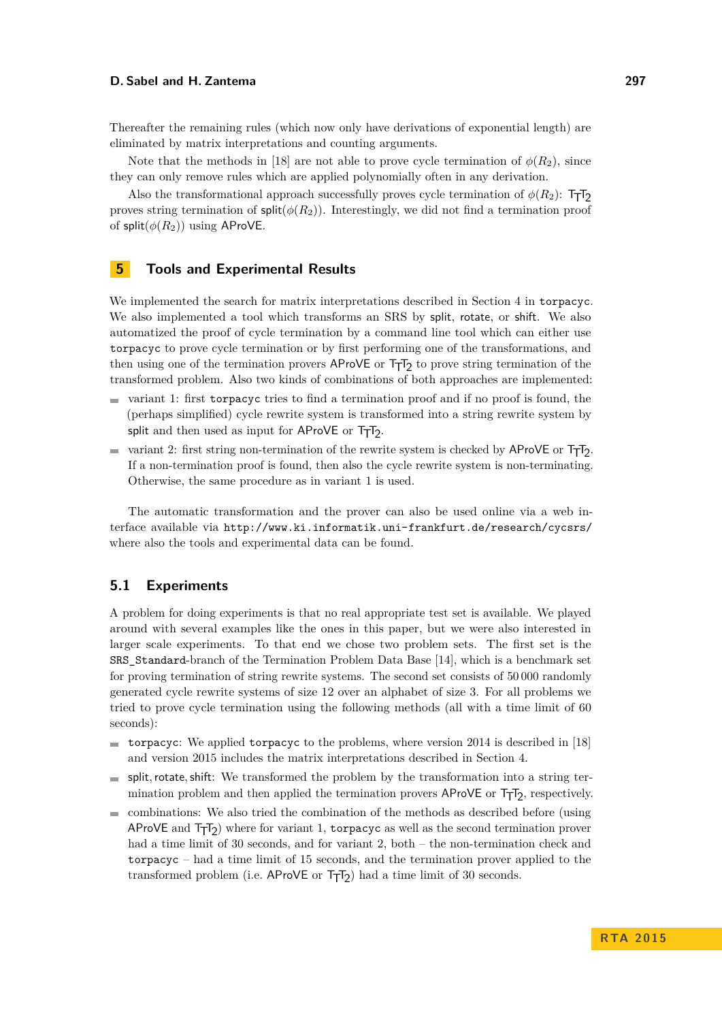Thereafter the remaining rules (which now only have derivations of exponential length) are eliminated by matrix interpretations and counting arguments.

Note that the methods in [\[18\]](#page-15-2) are not able to prove cycle termination of  $\phi(R_2)$ , since they can only remove rules which are applied polynomially often in any derivation.

Also the transformational approach successfully proves cycle termination of  $\phi(R_2)$ : T<sub>T</sub>T<sub>2</sub> proves string termination of  $\text{split}(\phi(R_2))$ . Interestingly, we did not find a termination proof of split $(\phi(R_2))$  using AProVE.

#### <span id="page-12-0"></span>**5 Tools and Experimental Results**

We implemented the search for matrix interpretations described in Section [4](#page-9-0) in torpacyc. We also implemented a tool which transforms an SRS by split, rotate, or shift. We also automatized the proof of cycle termination by a command line tool which can either use torpacyc to prove cycle termination or by first performing one of the transformations, and then using one of the termination provers AProVE or  $T_{\overline{1}}T_2$  to prove string termination of the transformed problem. Also two kinds of combinations of both approaches are implemented:

- $\blacksquare$  variant 1: first torpacyc tries to find a termination proof and if no proof is found, the (perhaps simplified) cycle rewrite system is transformed into a string rewrite system by split and then used as input for  $AP$ ro $VE$  or  $T_TT_2$ .
- variant 2: first string non-termination of the rewrite system is checked by  $\mathsf{AProVE}$  or  $\mathsf{T} \mathsf{T} \mathsf{I}_2$ . **College** If a non-termination proof is found, then also the cycle rewrite system is non-terminating. Otherwise, the same procedure as in variant 1 is used.

The automatic transformation and the prover can also be used online via a web interface available via <http://www.ki.informatik.uni-frankfurt.de/research/cycsrs/> where also the tools and experimental data can be found.

#### **5.1 Experiments**

A problem for doing experiments is that no real appropriate test set is available. We played around with several examples like the ones in this paper, but we were also interested in larger scale experiments. To that end we chose two problem sets. The first set is the SRS\_Standard-branch of the Termination Problem Data Base [\[14\]](#page-15-17), which is a benchmark set for proving termination of string rewrite systems. The second set consists of 50 000 randomly generated cycle rewrite systems of size 12 over an alphabet of size 3. For all problems we tried to prove cycle termination using the following methods (all with a time limit of 60 seconds):

- torpacyc: We applied torpacyc to the problems, where version  $2014$  is described in [\[18\]](#page-15-2) and version 2015 includes the matrix interpretations described in Section [4.](#page-9-0)
- split*,*rotate*,*shift: We transformed the problem by the transformation into a string ter- $\mathcal{L}_{\mathcal{A}}$ mination problem and then applied the termination provers  $AProVE$  or  $T<sub>T</sub>T<sub>2</sub>$ , respectively.
- combinations: We also tried the combination of the methods as described before (using AProVE and  $T_TT_2$ ) where for variant 1, torpacyc as well as the second termination prover had a time limit of 30 seconds, and for variant 2, both – the non-termination check and torpacyc – had a time limit of 15 seconds, and the termination prover applied to the transformed problem (i.e.  $\text{AProVE}$  or  $\text{Tr}Z$ ) had a time limit of 30 seconds.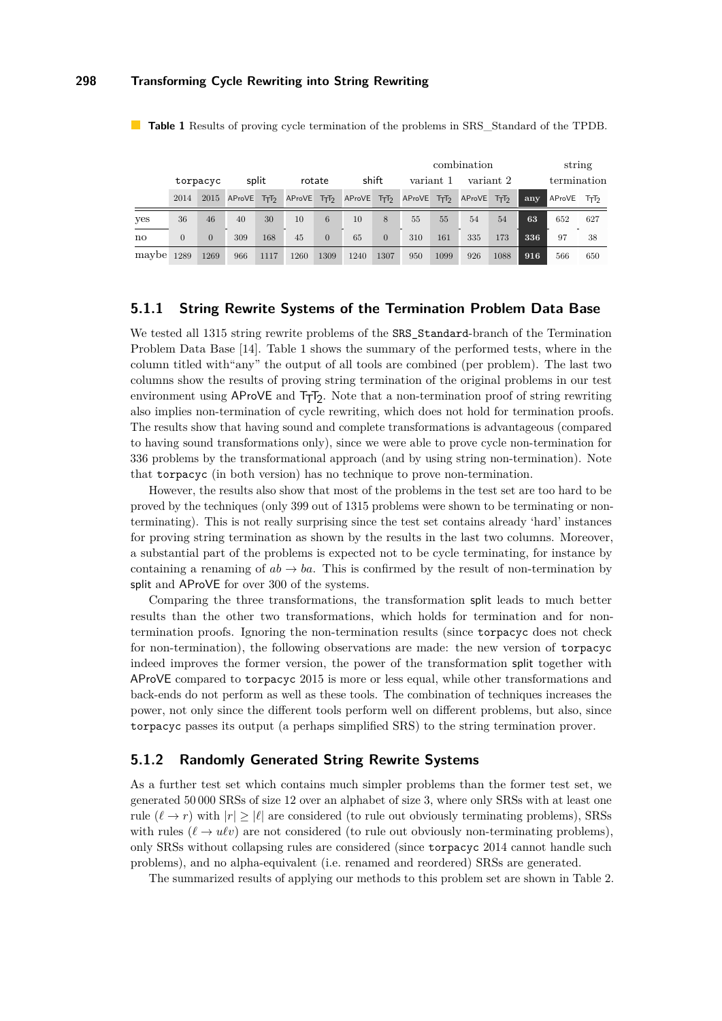|       |                |                |        |                  |               |          |        |                 | combination |              |        |                 |     | string      |     |  |
|-------|----------------|----------------|--------|------------------|---------------|----------|--------|-----------------|-------------|--------------|--------|-----------------|-----|-------------|-----|--|
|       | torpacyc       |                | split  |                  | rotate        |          | shift  |                 | variant 1   |              |        | variant 2       |     | termination |     |  |
|       | 2014           | 2015           | AProVE | TrT <sub>2</sub> | <b>AProVE</b> | $T_TT_2$ | AProVE | Tr <sub>1</sub> | AProVE      | $T_{T}T_{2}$ | AProVE | Tr <sub>1</sub> | any | AProVE      | ΤтΤ |  |
| yes   | 36             | 46             | 40     | 30               | 10            | 6        | 10     | 8               | 55          | 55           | 54     | 54              | 63  | 652         | 627 |  |
| no    | $\overline{0}$ | $\overline{0}$ | 309    | 168              | 45            | $\Omega$ | 65     | $\overline{0}$  | 310         | 161          | 335    | 173             | 336 | 97          | 38  |  |
| maybe | 1289           | 1269           | 966    | 1117             | 1260          | 1309     | 1240   | 1307            | 950         | 1099         | 926    | 1088            | 916 | 566         | 650 |  |

<span id="page-13-0"></span>**Table 1** Results of proving cycle termination of the problems in SRS\_Standard of the TPDB.

#### **5.1.1 String Rewrite Systems of the Termination Problem Data Base**

We tested all 1315 string rewrite problems of the SRS Standard-branch of the Termination Problem Data Base [\[14\]](#page-15-17). Table [1](#page-13-0) shows the summary of the performed tests, where in the column titled with"any" the output of all tools are combined (per problem). The last two columns show the results of proving string termination of the original problems in our test environment using  $AP$ ro $VE$  and  $T_TT_2$ . Note that a non-termination proof of string rewriting also implies non-termination of cycle rewriting, which does not hold for termination proofs. The results show that having sound and complete transformations is advantageous (compared to having sound transformations only), since we were able to prove cycle non-termination for 336 problems by the transformational approach (and by using string non-termination). Note that torpacyc (in both version) has no technique to prove non-termination.

However, the results also show that most of the problems in the test set are too hard to be proved by the techniques (only 399 out of 1315 problems were shown to be terminating or nonterminating). This is not really surprising since the test set contains already 'hard' instances for proving string termination as shown by the results in the last two columns. Moreover, a substantial part of the problems is expected not to be cycle terminating, for instance by containing a renaming of  $ab \to ba$ . This is confirmed by the result of non-termination by split and AProVE for over 300 of the systems.

Comparing the three transformations, the transformation split leads to much better results than the other two transformations, which holds for termination and for nontermination proofs. Ignoring the non-termination results (since torpacyc does not check for non-termination), the following observations are made: the new version of torpacyc indeed improves the former version, the power of the transformation split together with AProVE compared to torpacyc 2015 is more or less equal, while other transformations and back-ends do not perform as well as these tools. The combination of techniques increases the power, not only since the different tools perform well on different problems, but also, since torpacyc passes its output (a perhaps simplified SRS) to the string termination prover.

#### **5.1.2 Randomly Generated String Rewrite Systems**

As a further test set which contains much simpler problems than the former test set, we generated 50 000 SRSs of size 12 over an alphabet of size 3, where only SRSs with at least one rule  $(\ell \to r)$  with  $|r| \geq |\ell|$  are considered (to rule out obviously terminating problems), SRSs with rules  $(\ell \to u\ell v)$  are not considered (to rule out obviously non-terminating problems), only SRSs without collapsing rules are considered (since torpacyc 2014 cannot handle such problems), and no alpha-equivalent (i.e. renamed and reordered) SRSs are generated.

The summarized results of applying our methods to this problem set are shown in Table [2.](#page-14-1)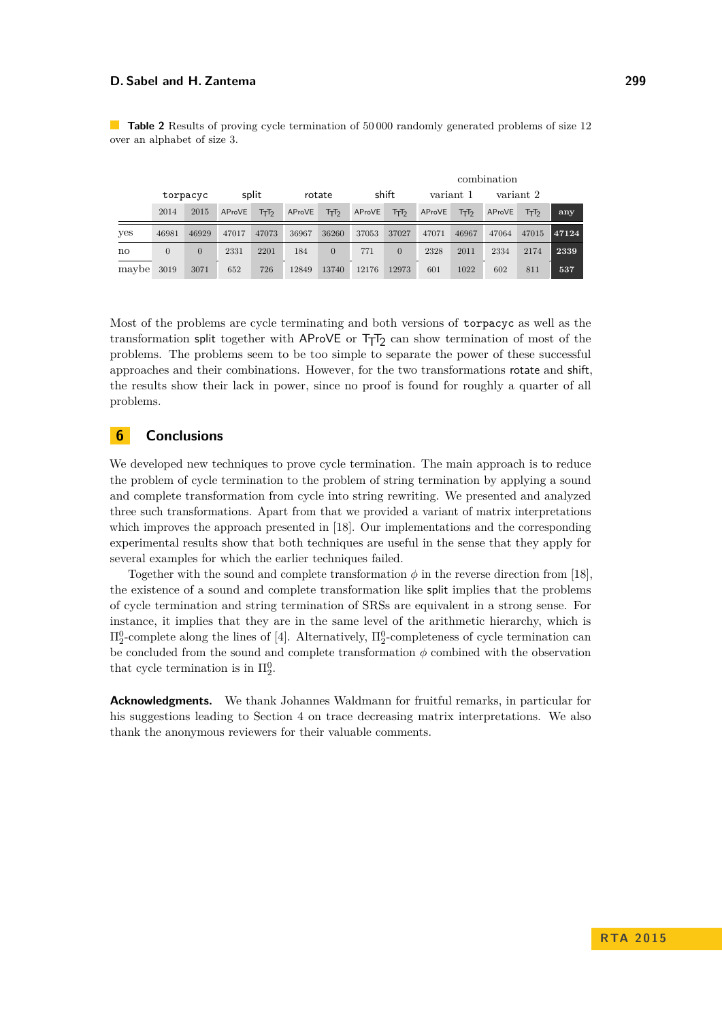<span id="page-14-1"></span>**Table 2** Results of proving cycle termination of 50000 randomly generated problems of size 12 over an alphabet of size 3.

|       |                |          |        |       |        |                |        |                | combination |       |           |       |       |  |
|-------|----------------|----------|--------|-------|--------|----------------|--------|----------------|-------------|-------|-----------|-------|-------|--|
|       | torpacyc       |          | split  |       | rotate |                | shift  |                | variant 1   |       | variant 2 |       |       |  |
|       | 2014           | 2015     | AProVE | ᡏ᠇ᡏ   | AProVE | ᡏ᠇ᡏ            | AProVE | ᡏ᠇ᡏ            | AProVE      | ᡏ᠇ᡏ   | AProVE    | ᠮ᠇ᡏ   | any   |  |
| yes   | 46981          | 46929    | 47017  | 47073 | 36967  | 36260          | 37053  | 37027          | 47071       | 46967 | 47064     | 47015 | 47124 |  |
| no    | $\overline{0}$ | $\Omega$ | 2331   | 2201  | 184    | $\overline{0}$ | 771    | $\overline{0}$ | 2328        | 2011  | 2334      | 2174  | 2339  |  |
| maybe | 3019           | 3071     | 652    | 726   | 12849  | 13740          | 12176  | 12973          | 601         | 1022  | 602       | 811   | 537   |  |

Most of the problems are cycle terminating and both versions of torpacyc as well as the transformation split together with AProVE or  $T_{\overline{1}}T_2$  can show termination of most of the problems. The problems seem to be too simple to separate the power of these successful approaches and their combinations. However, for the two transformations rotate and shift, the results show their lack in power, since no proof is found for roughly a quarter of all problems.

# <span id="page-14-0"></span>**6 Conclusions**

We developed new techniques to prove cycle termination. The main approach is to reduce the problem of cycle termination to the problem of string termination by applying a sound and complete transformation from cycle into string rewriting. We presented and analyzed three such transformations. Apart from that we provided a variant of matrix interpretations which improves the approach presented in [\[18\]](#page-15-2). Our implementations and the corresponding experimental results show that both techniques are useful in the sense that they apply for several examples for which the earlier techniques failed.

Together with the sound and complete transformation  $\phi$  in the reverse direction from [\[18\]](#page-15-2). the existence of a sound and complete transformation like split implies that the problems of cycle termination and string termination of SRSs are equivalent in a strong sense. For instance, it implies that they are in the same level of the arithmetic hierarchy, which is  $\Pi_2^0$ -complete along the lines of [\[4\]](#page-15-18). Alternatively,  $\Pi_2^0$ -completeness of cycle termination can be concluded from the sound and complete transformation  $\phi$  combined with the observation that cycle termination is in  $\Pi_2^0$ .

**Acknowledgments.** We thank Johannes Waldmann for fruitful remarks, in particular for his suggestions leading to Section [4](#page-9-0) on trace decreasing matrix interpretations. We also thank the anonymous reviewers for their valuable comments.